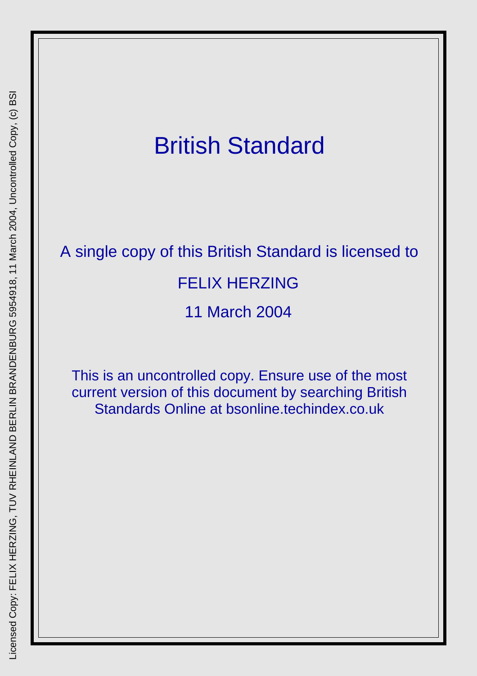# British Standard

# A single copy of this British Standard is licensed to FELIX HERZING

11 March 2004

This is an uncontrolled copy. Ensure use of the most current version of this document by searching British Standards Online at bsonline.techindex.co.uk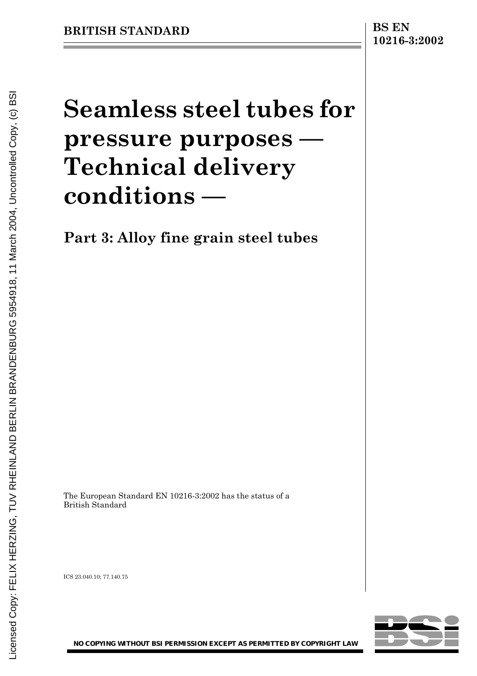# icensed Copy: FELIX HERZING, TUV RHEINLAND BERLIN BRANDENBURG 5954918, 11 March 2004, Uncontrolled Copy, (c) BSI Licensed Copy: FELIX HERZING, TUV RHEINLAND BERLIN BRANDENBURG 5954918, 11 March 2004, Uncontrolled Copy, (c) BSI

# **Seamless steel tubes for pressure purposes — Technical delivery conditions —**

**Part 3: Alloy fine grain steel tubes**

The European Standard EN 10216-3:2002 has the status of a British Standard

ICS 23.040.10; 77.140.75



**NO COPYING WITHOUT BSI PERMISSION EXCEPT AS PERMITTED BY COPYRIGHT LAW**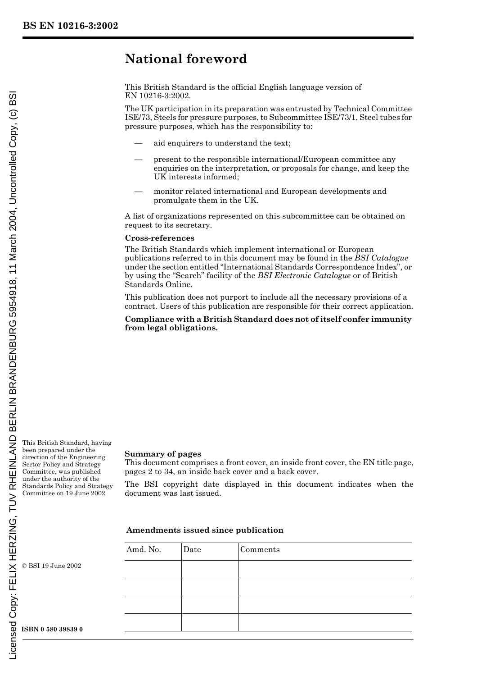# **National foreword**

This British Standard is the official English language version of EN 10216-3:2002.

The UK participation in its preparation was entrusted by Technical Committee ISE/73, Steels for pressure purposes, to Subcommittee ISE/73/1, Steel tubes for pressure purposes, which has the responsibility to:

- aid enquirers to understand the text;
- present to the responsible international/European committee any enquiries on the interpretation, or proposals for change, and keep the UK interests informed;
- monitor related international and European developments and promulgate them in the UK.

A list of organizations represented on this subcommittee can be obtained on request to its secretary.

#### **Cross-references**

The British Standards which implement international or European publications referred to in this document may be found in the *BSI Catalogue* under the section entitled "International Standards Correspondence Index", or by using the "Search" facility of the *BSI Electronic Catalogue* or of British Standards Online.

This publication does not purport to include all the necessary provisions of a contract. Users of this publication are responsible for their correct application.

#### **Compliance with a British Standard does not of itself confer immunity from legal obligations.**

This British Standard, having been prepared under the direction of the Engineering Sector Policy and Strategy Committee, was published under the authority of the Standards Policy and Strategy Committee on 19 June 2002

© BSI 19 June 2002

#### **Summary of pages**

This document comprises a front cover, an inside front cover, the EN title page, pages 2 to 34, an inside back cover and a back cover.

The BSI copyright date displayed in this document indicates when the document was last issued.

#### **Amendments issued since publication**

| Amd. No. | Date | Comments |
|----------|------|----------|
|          |      |          |
|          |      |          |
|          |      |          |
|          |      |          |
|          |      |          |

BERLIN BRANDENBURG 5954918, 11 March 2004, Uncontrolled Copy, (c) BSI Licensed Copy: FELIX HERZING, TUV RHEINLAND BERLIN BRANDENBURG 5954918, 11 March 2004, Uncontrolled Copy, (c) BSIRHEINLAND -icensed Copy: FELIX HERZING, TUV **ISBN 0 580 39839 0**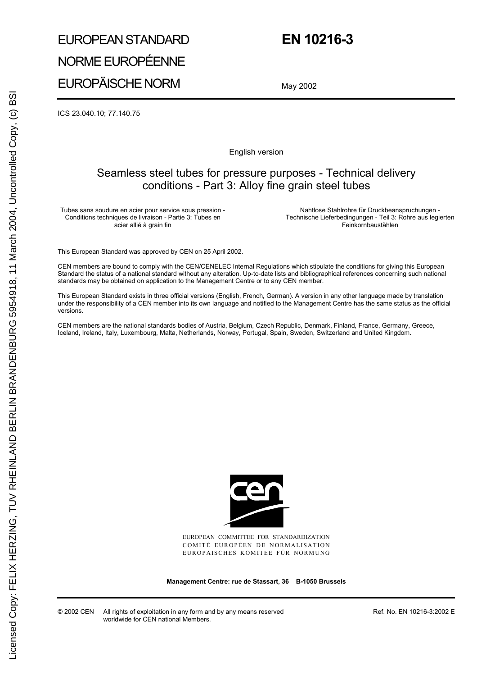# EUROPEAN STANDARD NORME EUROPÉENNE EUROPÄISCHE NORM

# **EN 10216-3**

May 2002

ICS 23.040.10; 77.140.75

English version

#### Seamless steel tubes for pressure purposes - Technical delivery conditions - Part 3: Alloy fine grain steel tubes

Tubes sans soudure en acier pour service sous pression - Conditions techniques de livraison - Partie 3: Tubes en acier allié à grain fin

Nahtlose Stahlrohre für Druckbeanspruchungen - Technische Lieferbedingungen - Teil 3: Rohre aus legierten Feinkornbaustählen

This European Standard was approved by CEN on 25 April 2002.

CEN members are bound to comply with the CEN/CENELEC Internal Regulations which stipulate the conditions for giving this European Standard the status of a national standard without any alteration. Up-to-date lists and bibliographical references concerning such national standards may be obtained on application to the Management Centre or to any CEN member.

This European Standard exists in three official versions (English, French, German). A version in any other language made by translation under the responsibility of a CEN member into its own language and notified to the Management Centre has the same status as the official versions.

CEN members are the national standards bodies of Austria, Belgium, Czech Republic, Denmark, Finland, France, Germany, Greece, Iceland, Ireland, Italy, Luxembourg, Malta, Netherlands, Norway, Portugal, Spain, Sweden, Switzerland and United Kingdom.



EUROPEAN COMMITTEE FOR STANDARDIZATION COMITÉ EUROPÉEN DE NORMALISATION EUROPÄISCHES KOMITEE FÜR NORMUNG

**Management Centre: rue de Stassart, 36 B-1050 Brussels**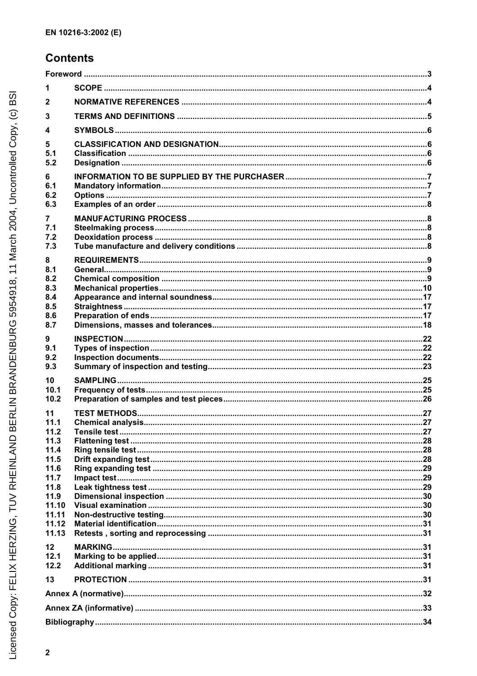# **Contents**

| 1              |  |
|----------------|--|
| 2              |  |
| 3              |  |
| 4              |  |
| 5              |  |
| 5.1            |  |
| 5.2            |  |
| 6<br>6.1       |  |
| 6.2            |  |
| 6.3            |  |
| 7<br>7.1       |  |
| 7.2            |  |
| 7.3            |  |
| 8              |  |
| 8.1<br>8.2     |  |
| 8.3            |  |
| 8.4<br>8.5     |  |
| 8.6            |  |
| 8.7            |  |
| 9              |  |
| 9.1<br>9.2     |  |
| 9.3            |  |
| 10             |  |
| 10.1<br>10.2   |  |
| 11             |  |
| 11.1           |  |
| 11.2<br>11.3   |  |
| 11.4           |  |
| 11.5           |  |
| 11.6<br>11.7   |  |
| 11.8           |  |
| 11.9<br>11.10  |  |
| 11.11          |  |
| 11.12<br>11.13 |  |
| 12             |  |
| 12.1           |  |
| 12.2           |  |
| 13             |  |
|                |  |
|                |  |
|                |  |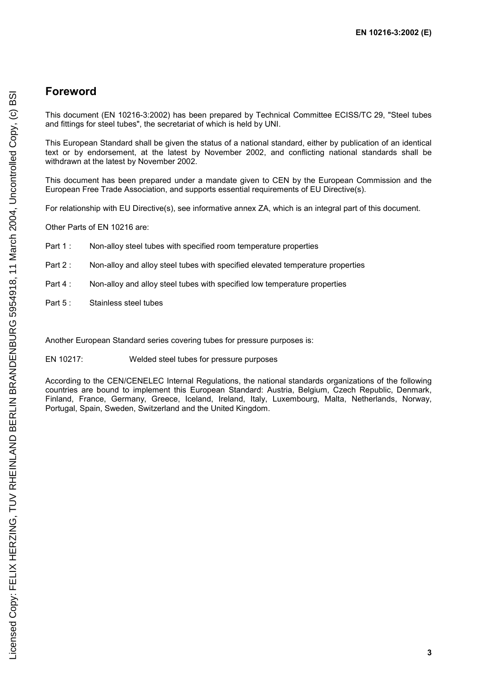## **Foreword**

This document (EN 10216-3:2002) has been prepared by Technical Committee ECISS/TC 29, "Steel tubes and fittings for steel tubes", the secretariat of which is held by UNI.

This European Standard shall be given the status of a national standard, either by publication of an identical text or by endorsement, at the latest by November 2002, and conflicting national standards shall be withdrawn at the latest by November 2002.

This document has been prepared under a mandate given to CEN by the European Commission and the European Free Trade Association, and supports essential requirements of EU Directive(s).

For relationship with EU Directive(s), see informative annex ZA, which is an integral part of this document.

Other Parts of EN 10216 are:

- Part 1 : Non-alloy steel tubes with specified room temperature properties
- Part 2 : Non-alloy and alloy steel tubes with specified elevated temperature properties
- Part 4 : Non-alloy and alloy steel tubes with specified low temperature properties
- Part 5 : Stainless steel tubes

Another European Standard series covering tubes for pressure purposes is:

EN 10217: Welded steel tubes for pressure purposes

According to the CEN/CENELEC Internal Regulations, the national standards organizations of the following countries are bound to implement this European Standard: Austria, Belgium, Czech Republic, Denmark, Finland, France, Germany, Greece, Iceland, Ireland, Italy, Luxembourg, Malta, Netherlands, Norway, Portugal, Spain, Sweden, Switzerland and the United Kingdom.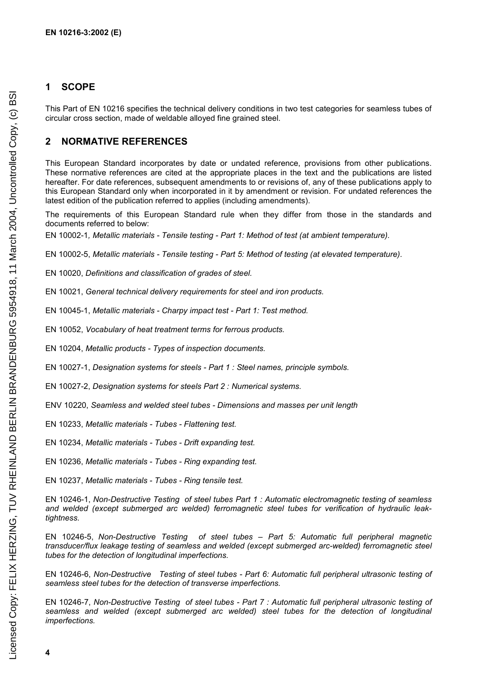#### **1 SCOPE**

This Part of EN 10216 specifies the technical delivery conditions in two test categories for seamless tubes of circular cross section, made of weldable alloyed fine grained steel.

#### **2 NORMATIVE REFERENCES**

This European Standard incorporates by date or undated reference, provisions from other publications. These normative references are cited at the appropriate places in the text and the publications are listed hereafter. For date references, subsequent amendments to or revisions of, any of these publications apply to this European Standard only when incorporated in it by amendment or revision. For undated references the latest edition of the publication referred to applies (including amendments).

The requirements of this European Standard rule when they differ from those in the standards and documents referred to below:

EN 10002-1*, Metallic materials - Tensile testing - Part 1: Method of test (at ambient temperature).*

EN 10002-5, *Metallic materials - Tensile testing - Part 5: Method of testing (at elevated temperature)*.

EN 10020, *Definitions and classification of grades of steel.*

EN 10021, *General technical delivery requirements for steel and iron products.*

EN 10045-1, *Metallic materials - Charpy impact test - Part 1: Test method.*

EN 10052, *Vocabulary of heat treatment terms for ferrous products.*

EN 10204, *Metallic products - Types of inspection documents.*

EN 10027-1, *Designation systems for steels - Part 1 : Steel names, principle symbols.*

EN 10027-2, *Designation systems for steels Part 2 : Numerical systems.*

ENV 10220, *Seamless and welded steel tubes - Dimensions and masses per unit length*

EN 10233, *Metallic materials - Tubes - Flattening test.*

EN 10234, *Metallic materials - Tubes - Drift expanding test.*

EN 10236, *Metallic materials - Tubes - Ring expanding test.*

EN 10237, *Metallic materials - Tubes - Ring tensile test.*

EN 10246-1, *Non-Destructive Testing of steel tubes Part 1 : Automatic electromagnetic testing of seamless and welded (except submerged arc welded) ferromagnetic steel tubes for verification of hydraulic leaktightness.*

EN 10246-5, *Non-Destructive Testing of steel tubes – Part 5: Automatic full peripheral magnetic transducer/flux leakage testing of seamless and welded (except submerged arc-welded) ferromagnetic steel tubes for the detection of longitudinal imperfections.*

EN 10246-6, *Non-Destructive Testing of steel tubes - Part 6: Automatic full peripheral ultrasonic testing of seamless steel tubes for the detection of transverse imperfections.*

EN 10246-7, *Non-Destructive Testing of steel tubes - Part 7 : Automatic full peripheral ultrasonic testing of seamless and welded (except submerged arc welded) steel tubes for the detection of longitudinal imperfections.*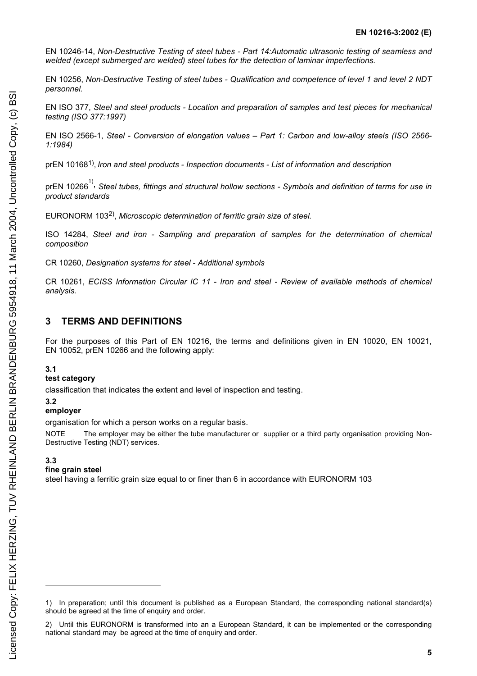EN 10246-14, *Non-Destructive Testing of steel tubes - Part 14:Automatic ultrasonic testing of seamless and welded (except submerged arc welded) steel tubes for the detection of laminar imperfections.*

EN 10256, *Non-Destructive Testing of steel tubes - Qualification and competence of level 1 and level 2 NDT personnel.*

EN ISO 377, *Steel and steel products - Location and preparation of samples and test pieces for mechanical testing (ISO 377:1997)*

EN ISO 2566-1, *Steel - Conversion of elongation values – Part 1: Carbon and low-alloy steels (ISO 2566- 1:1984)*

prEN 101681), *Iron and steel products - Inspection documents - List of information and description*

prEN 10266<sup>1),</sup> Steel tubes, fittings and structural hollow sections - Symbols and definition of terms for use in *product standards*

EURONORM 1032), *Microscopic determination of ferritic grain size of steel.*

ISO 14284, *Steel and iron - Sampling and preparation of samples for the determination of chemical composition*

CR 10260, *Designation systems for steel - Additional symbols*

CR 10261, *ECISS Information Circular IC 11 - Iron and steel - Review of available methods of chemical analysis.*

#### **3 TERMS AND DEFINITIONS**

For the purposes of this Part of EN 10216, the terms and definitions given in EN 10020, EN 10021, EN 10052, prEN 10266 and the following apply:

#### **3.1**

#### **test category**

classification that indicates the extent and level of inspection and testing.

#### **3.2**

#### **employer**

organisation for which a person works on a regular basis.

NOTE The employer may be either the tube manufacturer or supplier or a third party organisation providing Non-Destructive Testing (NDT) services.

#### **3.3**

l

#### **fine grain steel**

steel having a ferritic grain size equal to or finer than 6 in accordance with EURONORM 103

<sup>1)</sup> In preparation; until this document is published as a European Standard, the corresponding national standard(s) should be agreed at the time of enquiry and order.

<sup>2)</sup> Until this EURONORM is transformed into an a European Standard, it can be implemented or the corresponding national standard may be agreed at the time of enquiry and order.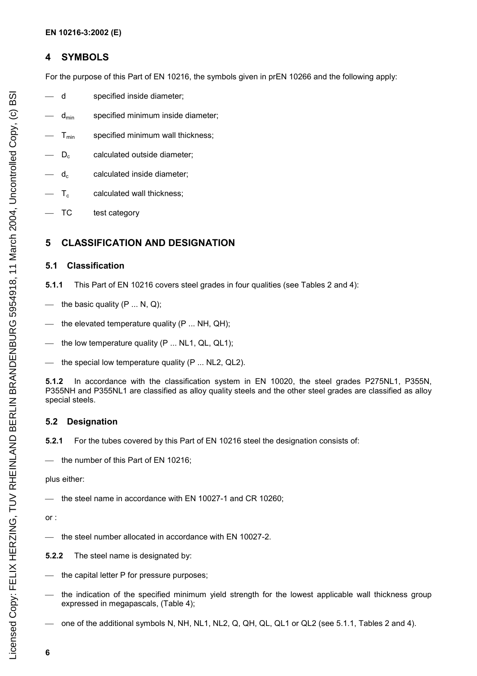#### **4 SYMBOLS**

For the purpose of this Part of EN 10216, the symbols given in prEN 10266 and the following apply:

- d specified inside diameter;
- $d_{min}$  specified minimum inside diameter;
- $T_{min}$  specified minimum wall thickness;
- D<sub>c</sub> calculated outside diameter;
- $d_c$  calculated inside diameter;
- $T_c$  calculated wall thickness;
- TC test category

#### **5 CLASSIFICATION AND DESIGNATION**

#### **5.1 Classification**

- **5.1.1** This Part of EN 10216 covers steel grades in four qualities (see Tables 2 and 4):
- $-$  the basic quality (P ... N, Q);
- $\equiv$  the elevated temperature quality (P ... NH, QH);
- $-$  the low temperature quality (P ... NL1, QL, QL1);
- $\frac{1}{1}$  the special low temperature quality (P ... NL2, QL2).

**5.1.2** In accordance with the classification system in EN 10020, the steel grades P275NL1, P355N, P355NH and P355NL1 are classified as alloy quality steels and the other steel grades are classified as alloy special steels.

#### **5.2 Designation**

- **5.2.1** For the tubes covered by this Part of EN 10216 steel the designation consists of:
- $-$  the number of this Part of EN 10216:

plus either:

the steel name in accordance with EN 10027-1 and CR 10260;

or :

- the steel number allocated in accordance with EN 10027-2.
- **5.2.2** The steel name is designated by:
- $-$  the capital letter P for pressure purposes;
- the indication of the specified minimum yield strength for the lowest applicable wall thickness group expressed in megapascals, (Table 4);
- one of the additional symbols N, NH, NL1, NL2, Q, QH, QL, QL1 or QL2 (see 5.1.1, Tables 2 and 4).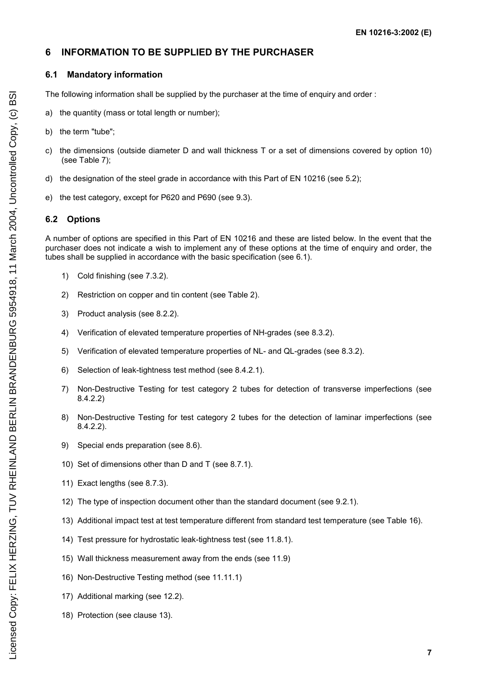#### **6 INFORMATION TO BE SUPPLIED BY THE PURCHASER**

#### **6.1 Mandatory information**

The following information shall be supplied by the purchaser at the time of enquiry and order :

- a) the quantity (mass or total length or number);
- b) the term "tube";
- c) the dimensions (outside diameter D and wall thickness T or a set of dimensions covered by option 10) (see Table 7);
- d) the designation of the steel grade in accordance with this Part of EN 10216 (see 5.2);
- e) the test category, except for P620 and P690 (see 9.3).

#### **6.2 Options**

A number of options are specified in this Part of EN 10216 and these are listed below. In the event that the purchaser does not indicate a wish to implement any of these options at the time of enquiry and order, the tubes shall be supplied in accordance with the basic specification (see 6.1).

- 1) Cold finishing (see 7.3.2).
- 2) Restriction on copper and tin content (see Table 2).
- 3) Product analysis (see 8.2.2).
- 4) Verification of elevated temperature properties of NH-grades (see 8.3.2).
- 5) Verification of elevated temperature properties of NL- and QL-grades (see 8.3.2).
- 6) Selection of leak-tightness test method (see 8.4.2.1).
- 7) Non-Destructive Testing for test category 2 tubes for detection of transverse imperfections (see 8.4.2.2)
- 8) Non-Destructive Testing for test category 2 tubes for the detection of laminar imperfections (see 8.4.2.2).
- 9) Special ends preparation (see 8.6).
- 10) Set of dimensions other than D and T (see 8.7.1).
- 11) Exact lengths (see 8.7.3).
- 12) The type of inspection document other than the standard document (see 9.2.1).
- 13) Additional impact test at test temperature different from standard test temperature (see Table 16).
- 14) Test pressure for hydrostatic leak-tightness test (see 11.8.1).
- 15) Wall thickness measurement away from the ends (see 11.9)
- 16) Non-Destructive Testing method (see 11.11.1)
- 17) Additional marking (see 12.2).
- 18) Protection (see clause 13).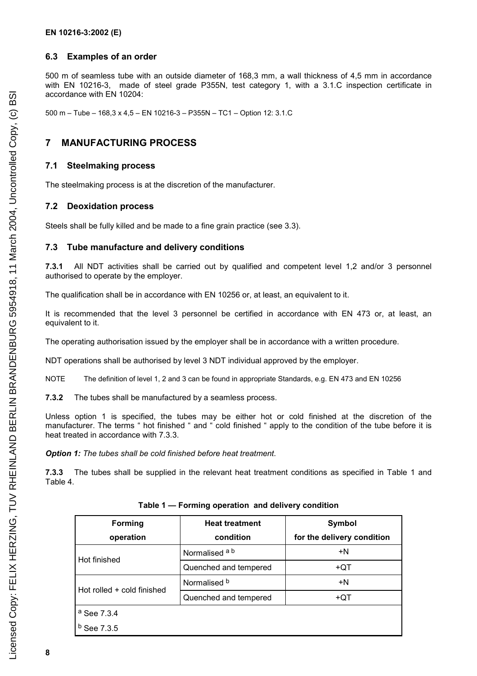#### **6.3 Examples of an order**

500 m of seamless tube with an outside diameter of 168,3 mm, a wall thickness of 4,5 mm in accordance with EN 10216-3, made of steel grade P355N, test category 1, with a 3.1.C inspection certificate in accordance with EN 10204:

```
500 m – Tube – 168,3 x 4,5 – EN 10216-3 – P355N – TC1 – Option 12: 3.1.C
```
#### **7 MANUFACTURING PROCESS**

#### **7.1 Steelmaking process**

The steelmaking process is at the discretion of the manufacturer.

#### **7.2 Deoxidation process**

Steels shall be fully killed and be made to a fine grain practice (see 3.3).

#### **7.3 Tube manufacture and delivery conditions**

**7.3.1** All NDT activities shall be carried out by qualified and competent level 1,2 and/or 3 personnel authorised to operate by the employer.

The qualification shall be in accordance with EN 10256 or, at least, an equivalent to it.

It is recommended that the level 3 personnel be certified in accordance with EN 473 or, at least, an equivalent to it.

The operating authorisation issued by the employer shall be in accordance with a written procedure.

NDT operations shall be authorised by level 3 NDT individual approved by the employer.

NOTE The definition of level 1, 2 and 3 can be found in appropriate Standards, e.g. EN 473 and EN 10256

**7.3.2** The tubes shall be manufactured by a seamless process.

Unless option 1 is specified, the tubes may be either hot or cold finished at the discretion of the manufacturer. The terms " hot finished " and " cold finished " apply to the condition of the tube before it is heat treated in accordance with 7.3.3.

*Option 1: The tubes shall be cold finished before heat treatment.*

**7.3.3** The tubes shall be supplied in the relevant heat treatment conditions as specified in Table 1 and Table 4.

| <b>Forming</b>             | <b>Heat treatment</b> | Symbol                     |  |  |  |  |
|----------------------------|-----------------------|----------------------------|--|--|--|--|
| operation                  | condition             | for the delivery condition |  |  |  |  |
| Hot finished               | Normalised a b        | $+N$                       |  |  |  |  |
|                            | Quenched and tempered | $+QT$                      |  |  |  |  |
| Hot rolled + cold finished | Normalised b          | $+N$                       |  |  |  |  |
|                            | Quenched and tempered | +QT                        |  |  |  |  |
| <sup>a</sup> See 7.3.4     |                       |                            |  |  |  |  |
| $b$ See 7.3.5              |                       |                            |  |  |  |  |

**Table 1 — Forming operation and delivery condition**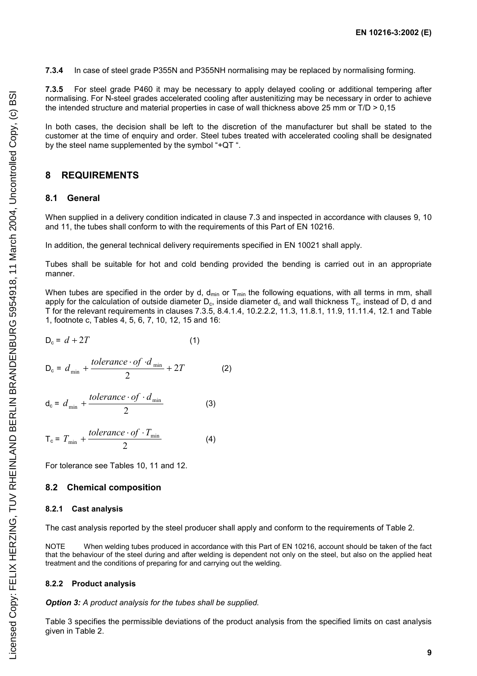**7.3.4** In case of steel grade P355N and P355NH normalising may be replaced by normalising forming.

**7.3.5** For steel grade P460 it may be necessary to apply delayed cooling or additional tempering after normalising. For N-steel grades accelerated cooling after austenitizing may be necessary in order to achieve the intended structure and material properties in case of wall thickness above 25 mm or T/D > 0,15

In both cases, the decision shall be left to the discretion of the manufacturer but shall be stated to the customer at the time of enquiry and order. Steel tubes treated with accelerated cooling shall be designated by the steel name supplemented by the symbol "+QT ".

#### **8 REQUIREMENTS**

#### **8.1 General**

When supplied in a delivery condition indicated in clause 7.3 and inspected in accordance with clauses 9, 10 and 11, the tubes shall conform to with the requirements of this Part of EN 10216.

In addition, the general technical delivery requirements specified in EN 10021 shall apply.

Tubes shall be suitable for hot and cold bending provided the bending is carried out in an appropriate manner.

When tubes are specified in the order by d,  $d_{min}$  or  $T_{min}$  the following equations, with all terms in mm, shall apply for the calculation of outside diameter  $D_c$ , inside diameter  $d_c$  and wall thickness  $T_c$ , instead of D, d and T for the relevant requirements in clauses 7.3.5, 8.4.1.4, 10.2.2.2, 11.3, 11.8.1, 11.9, 11.11.4, 12.1 and Table 1, footnote c, Tables 4, 5, 6, 7, 10, 12, 15 and 16:

$$
D_c = d + 2T \tag{1}
$$

$$
D_c = d_{min} + \frac{tolerance \cdot of \cdot d_{min}}{2} + 2T \tag{2}
$$

$$
d_c = d_{min} + \frac{tolerance \cdot of \cdot d_{min}}{2}
$$
 (3)

$$
T_c = T_{\min} + \frac{tolerance \cdot of \cdot T_{\min}}{2}
$$
 (4)

For tolerance see Tables 10, 11 and 12.

#### **8.2 Chemical composition**

#### **8.2.1 Cast analysis**

The cast analysis reported by the steel producer shall apply and conform to the requirements of Table 2.

NOTE When welding tubes produced in accordance with this Part of EN 10216, account should be taken of the fact that the behaviour of the steel during and after welding is dependent not only on the steel, but also on the applied heat treatment and the conditions of preparing for and carrying out the welding.

#### **8.2.2 Product analysis**

#### *Option 3: A product analysis for the tubes shall be supplied.*

Table 3 specifies the permissible deviations of the product analysis from the specified limits on cast analysis given in Table 2.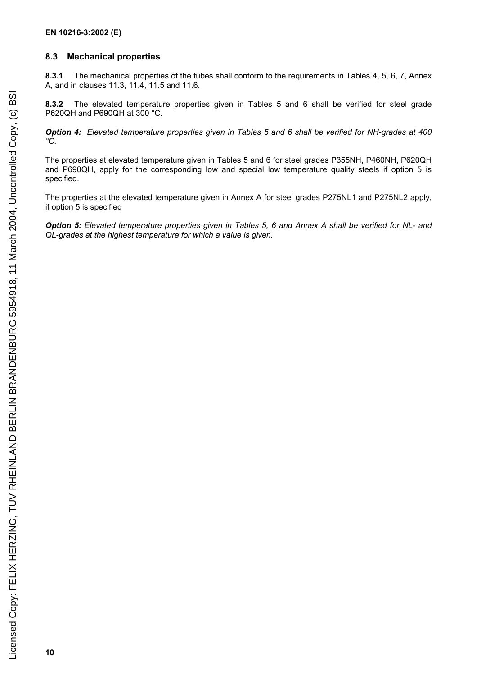#### **8.3 Mechanical properties**

**8.3.1** The mechanical properties of the tubes shall conform to the requirements in Tables 4, 5, 6, 7, Annex A, and in clauses 11.3, 11.4, 11.5 and 11.6.

**8.3.2** The elevated temperature properties given in Tables 5 and 6 shall be verified for steel grade P620QH and P690QH at 300 °C.

*Option 4: Elevated temperature properties given in Tables 5 and 6 shall be verified for NH-grades at 400 °C.*

The properties at elevated temperature given in Tables 5 and 6 for steel grades P355NH, P460NH, P620QH and P690QH, apply for the corresponding low and special low temperature quality steels if option 5 is specified.

The properties at the elevated temperature given in Annex A for steel grades P275NL1 and P275NL2 apply, if option 5 is specified

*Option 5: Elevated temperature properties given in Tables 5, 6 and Annex A shall be verified for NL- and QL-grades at the highest temperature for which a value is given.*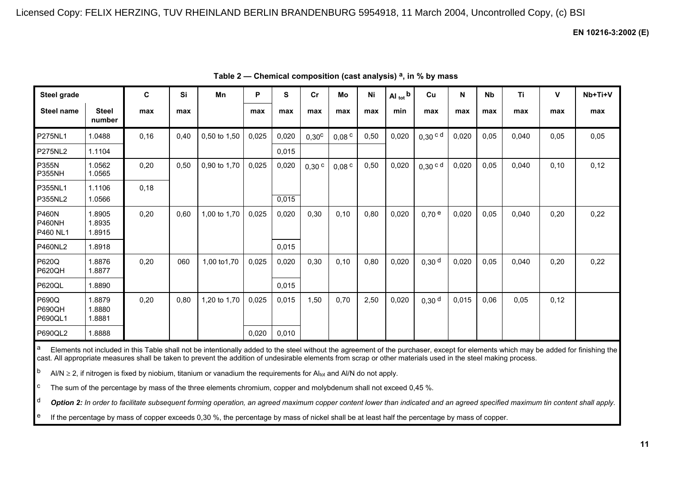**EN 10216-3:2002 (E)**

| Steel grade                        |                            | C    | Si   | Mn           | P     | S     | Cr                  | Mo                | Ni   | Al tot $\mathbf{b}$ | Cu                  | N     | <b>Nb</b> | Ti    | $\mathbf v$ | Nb+Ti+V |
|------------------------------------|----------------------------|------|------|--------------|-------|-------|---------------------|-------------------|------|---------------------|---------------------|-------|-----------|-------|-------------|---------|
| <b>Steel name</b>                  | <b>Steel</b><br>number     | max  | max  |              | max   | max   | max                 | max               | max  | min                 | max                 | max   | max       | max   | max         | max     |
| P275NL1                            | 1.0488                     | 0,16 | 0,40 | 0,50 to 1,50 | 0,025 | 0,020 | $0,30$ <sup>c</sup> | 0,08 <sup>c</sup> | 0,50 | 0,020               | $0,30$ c d          | 0,020 | 0,05      | 0,040 | 0,05        | 0,05    |
| <b>P275NL2</b>                     | 1.1104                     |      |      |              |       | 0,015 |                     |                   |      |                     |                     |       |           |       |             |         |
| P355N<br>P355NH                    | 1.0562<br>1.0565           | 0,20 | 0,50 | 0,90 to 1,70 | 0,025 | 0,020 | $0,30$ <sup>c</sup> | 0,08 <sup>c</sup> | 0,50 | 0,020               | $0,30$ c d          | 0,020 | 0,05      | 0,040 | 0, 10       | 0,12    |
| P355NL1<br>P355NL2                 | 1.1106<br>1.0566           | 0,18 |      |              |       | 0,015 |                     |                   |      |                     |                     |       |           |       |             |         |
| P460N<br><b>P460NH</b><br>P460 NL1 | 1.8905<br>1.8935<br>1.8915 | 0,20 | 0,60 | 1,00 to 1,70 | 0,025 | 0,020 | 0,30                | 0, 10             | 0.80 | 0,020               | 0,70e               | 0,020 | 0,05      | 0,040 | 0,20        | 0,22    |
| <b>P460NL2</b>                     | 1.8918                     |      |      |              |       | 0,015 |                     |                   |      |                     |                     |       |           |       |             |         |
| P620Q<br>P620QH                    | 1.8876<br>1.8877           | 0,20 | 060  | 1,00 to 1,70 | 0,025 | 0,020 | 0,30                | 0,10              | 0,80 | 0,020               | $0,30$ <sup>d</sup> | 0,020 | 0,05      | 0.040 | 0,20        | 0,22    |
| <b>P620QL</b>                      | 1.8890                     |      |      |              |       | 0,015 |                     |                   |      |                     |                     |       |           |       |             |         |
| P690Q<br>P690QH<br>P690QL1         | 1.8879<br>1.8880<br>1.8881 | 0,20 | 0,80 | 1,20 to 1,70 | 0,025 | 0,015 | 1,50                | 0,70              | 2,50 | 0,020               | 0,30 <sup>d</sup>   | 0,015 | 0,06      | 0,05  | 0,12        |         |
| P690QL2                            | 1.8888                     |      |      |              | 0,020 | 0,010 |                     |                   |      |                     |                     |       |           |       |             |         |

**Table 2 — Chemical composition (cast analysis) a, in % by mass**

a Elements not included in this Table shall not be intentionally added to the steel without the agreement of the purchaser, except for elements which may be added for finishing the cast. All appropriate measures shall be taken to prevent the addition of undesirable elements from scrap or other materials used in the steel making process.

bAl/N  $\geq$  2, if nitrogen is fixed by niobium, titanium or vanadium the requirements for Al<sub>tot</sub> and Al/N do not apply.

cThe sum of the percentage by mass of the three elements chromium, copper and molybdenum shall not exceed 0,45 %.

d*Option 2: In order to facilitate subsequent forming operation, an agreed maximum copper content lower than indicated and an agreed specified maximum tin content shall apply.*

eIf the percentage by mass of copper exceeds 0,30 %, the percentage by mass of nickel shall be at least half the percentage by mass of copper.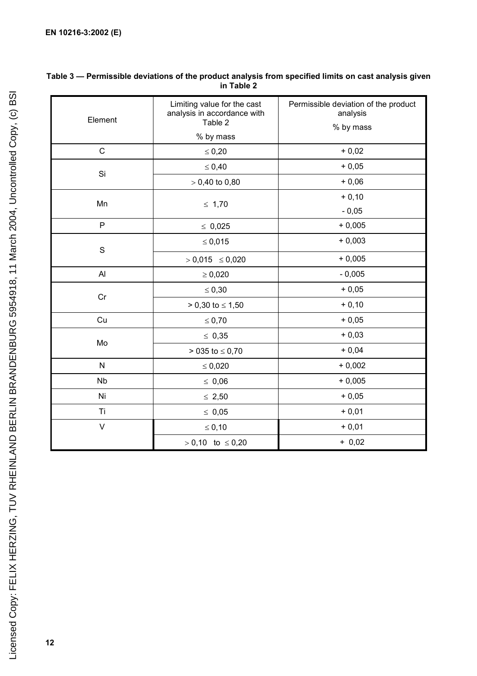| Element      | Limiting value for the cast<br>analysis in accordance with<br>Table 2 | Permissible deviation of the product<br>analysis<br>% by mass |  |  |  |  |  |
|--------------|-----------------------------------------------------------------------|---------------------------------------------------------------|--|--|--|--|--|
|              | % by mass                                                             |                                                               |  |  |  |  |  |
| $\mathsf C$  | $\leq 0,20$                                                           | $+0,02$                                                       |  |  |  |  |  |
| Si           | $\leq 0,40$                                                           | $+0,05$                                                       |  |  |  |  |  |
|              | $> 0,40$ to $0,80$                                                    | $+0,06$                                                       |  |  |  |  |  |
| Mn           | $\leq 1,70$                                                           | $+0,10$                                                       |  |  |  |  |  |
|              |                                                                       | $-0,05$                                                       |  |  |  |  |  |
| P            | $\leq 0,025$                                                          | $+0,005$                                                      |  |  |  |  |  |
| $\mathbf S$  | ≤ 0,015                                                               | $+0,003$                                                      |  |  |  |  |  |
|              | $> 0,015 \le 0,020$                                                   | $+0,005$                                                      |  |  |  |  |  |
| $\mathsf{A}$ | $\ge 0,020$                                                           | $-0,005$                                                      |  |  |  |  |  |
| Cr           | $\leq 0,30$                                                           | $+0,05$                                                       |  |  |  |  |  |
|              | $> 0,30$ to $\leq 1,50$                                               | $+0,10$                                                       |  |  |  |  |  |
| Cu           | $\leq 0,70$                                                           | $+0,05$                                                       |  |  |  |  |  |
| Mo           | $\leq 0,35$                                                           | $+0,03$                                                       |  |  |  |  |  |
|              | $> 035$ to $\leq 0,70$                                                | $+0,04$                                                       |  |  |  |  |  |
| ${\sf N}$    | $\leq 0,020$                                                          | $+0,002$                                                      |  |  |  |  |  |
| <b>Nb</b>    | $\leq 0,06$                                                           | $+0,005$                                                      |  |  |  |  |  |
| Ni           | $\leq 2,50$                                                           | $+0,05$                                                       |  |  |  |  |  |
| Ti           | $\leq 0,05$                                                           | $+0,01$                                                       |  |  |  |  |  |
| $\vee$       | $\leq 0,10$                                                           | $+0,01$                                                       |  |  |  |  |  |
|              | $> 0,10$ to $\leq 0,20$                                               | $+ 0,02$                                                      |  |  |  |  |  |

#### **Table 3 — Permissible deviations of the product analysis from specified limits on cast analysis given in Table 2**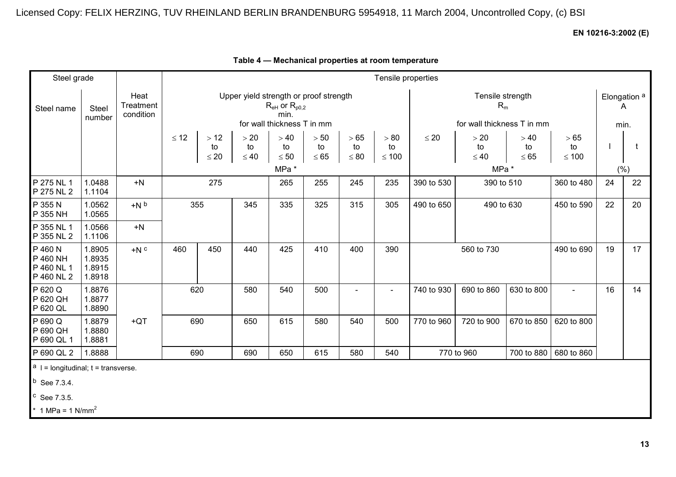### Licensed Copy: FELIX HERZING, TUV RHEINLAND BERLIN BRANDENBURG 5954918, 11 March 2004, Uncontrolled Copy, (c) BSI

**EN 10216-3:2002 (E)**

| Steel grade                                     |                                      |                                |           |                          |                                                                                                        |                                 |                         |                        | Tensile properties       |                                                         |                                   |                        |                         |      |                                      |  |  |
|-------------------------------------------------|--------------------------------------|--------------------------------|-----------|--------------------------|--------------------------------------------------------------------------------------------------------|---------------------------------|-------------------------|------------------------|--------------------------|---------------------------------------------------------|-----------------------------------|------------------------|-------------------------|------|--------------------------------------|--|--|
| Steel name                                      | <b>Steel</b><br>number               | Heat<br>Treatment<br>condition |           |                          | Upper yield strength or proof strength<br>$R_{eH}$ or $R_{p0,2}$<br>min.<br>for wall thickness T in mm |                                 |                         |                        |                          | Tensile strength<br>$R_m$<br>for wall thickness T in mm |                                   |                        |                         |      | Elongation <sup>a</sup><br>A<br>min. |  |  |
|                                                 |                                      |                                | $\leq 12$ | $>12$<br>to<br>$\leq 20$ | > 20<br>to<br>$\leq 40$                                                                                | >40<br>to<br>$\leq 50$<br>MPa * | > 50<br>to<br>$\leq 65$ | >65<br>to<br>$\leq 80$ | > 80<br>to<br>$\leq 100$ | $\leq 20$                                               | $>20$<br>to<br>$\leq 40$<br>MPa * | >40<br>to<br>$\leq 65$ | >65<br>to<br>$\leq 100$ | (% ) |                                      |  |  |
| P 275 NL 1<br>P 275 NL 2                        | 1.0488<br>1.1104                     | $+N$                           |           | 275                      |                                                                                                        | 265                             | 255                     | 245                    | 235                      | 390 to 530                                              | 390 to 510                        |                        | 360 to 480              | 24   | 22                                   |  |  |
| P 355 N<br>P 355 NH                             | 1.0562<br>1.0565                     | $+Nb$                          | 355       |                          | 345                                                                                                    | 335                             | 325                     | 315                    | 305                      | 490 to 650                                              | 490 to 630                        |                        | 450 to 590              | 22   | 20                                   |  |  |
| P 355 NL 1<br>P 355 NL 2                        | 1.0566<br>1.1106                     | $+N$                           |           |                          |                                                                                                        |                                 |                         |                        |                          |                                                         |                                   |                        |                         |      |                                      |  |  |
| P 460 N<br>P 460 NH<br>P 460 NL 1<br>P 460 NL 2 | 1.8905<br>1.8935<br>1.8915<br>1.8918 | $+Nc$                          | 460       | 450                      | 440                                                                                                    | 425                             | 410                     | 400                    | 390                      |                                                         | 560 to 730                        |                        | 490 to 690              | 19   | 17                                   |  |  |
| P 620 Q<br>P 620 QH<br>P 620 QL                 | 1.8876<br>1.8877<br>1.8890           |                                |           | 620                      | 580                                                                                                    | 540                             | 500                     |                        | $\blacksquare$           | 740 to 930                                              | 690 to 860                        | 630 to 800             |                         | 16   | 14                                   |  |  |
| P 690 Q<br>P 690 QH<br>P 690 QL 1               | 1.8879<br>1.8880<br>1.8881           | $+QT$                          |           | 690                      | 650                                                                                                    | 615                             | 580                     | 540                    | 500                      | 770 to 960                                              | 720 to 900                        | 670 to 850             | 620 to 800              |      |                                      |  |  |
| P 690 QL 2                                      | 1.8888                               |                                |           | 690                      | 690                                                                                                    | 650                             | 615                     | 580                    | 540                      | 770 to 960<br>700 to 880                                |                                   |                        | 680 to 860              |      |                                      |  |  |
| $al =$ I = longitudinal: t = transverse.        |                                      |                                |           |                          |                                                                                                        |                                 |                         |                        |                          |                                                         |                                   |                        |                         |      |                                      |  |  |

**Table 4 — Mechanical properties at room temperature**

<sup>a</sup> I = longitudinal; t = transverse.

 $^{\rm b}$  See 7.3.4.

<sup>c</sup> See 7.3.5.

\* 1 MPa = 1 N/mm<sup>2</sup>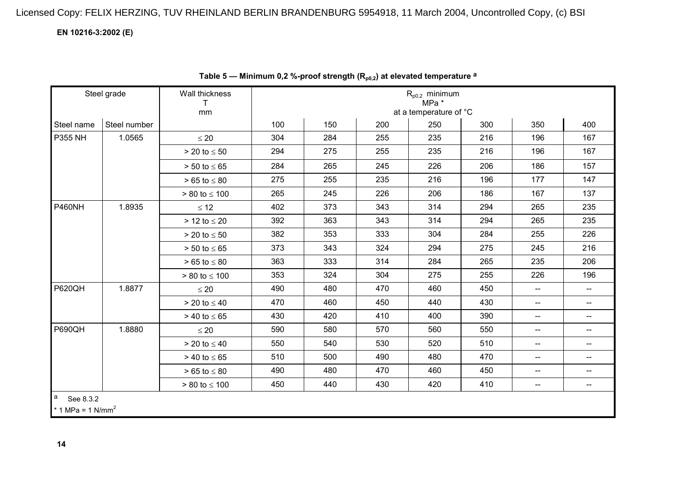# Licensed Copy: FELIX HERZING, TUV RHEINLAND BERLIN BRANDENBURG 5954918, 11 March 2004, Uncontrolled Copy, (c) BSI

#### **EN 10216-3:2002 (E)**

|                               | Steel grade  | Wall thickness<br>Τ  |     |     |     | $R_{p0,2}$ minimum<br>MPa * |     |                                       |                                       |
|-------------------------------|--------------|----------------------|-----|-----|-----|-----------------------------|-----|---------------------------------------|---------------------------------------|
|                               |              | mm                   |     |     |     | at a temperature of °C      |     |                                       |                                       |
| Steel name                    | Steel number |                      | 100 | 150 | 200 | 250                         | 300 | 350                                   | 400                                   |
| <b>P355 NH</b>                | 1.0565       | $\leq 20$            | 304 | 284 | 255 | 235                         | 216 | 196                                   | 167                                   |
|                               |              | $> 20$ to $\leq 50$  | 294 | 275 | 255 | 235                         | 216 | 196                                   | 167                                   |
|                               |              | $> 50$ to $\leq 65$  | 284 | 265 | 245 | 226                         | 206 | 186                                   | 157                                   |
|                               |              | $> 65$ to $\leq 80$  | 275 | 255 | 235 | 216                         | 196 | 177                                   | 147                                   |
|                               |              | $> 80$ to $\leq 100$ | 265 | 245 | 226 | 206                         | 186 | 167                                   | 137                                   |
| <b>P460NH</b>                 | 1.8935       | $\leq 12$            | 402 | 373 | 343 | 314                         | 294 | 265                                   | 235                                   |
|                               |              | $> 12$ to $\leq 20$  | 392 | 363 | 343 | 314                         | 294 | 265                                   | 235                                   |
|                               |              | $> 20$ to $\leq 50$  | 382 | 353 | 333 | 304                         | 284 | 255                                   | 226                                   |
|                               |              | $> 50$ to $\le 65$   | 373 | 343 | 324 | 294                         | 275 | 245                                   | 216                                   |
|                               |              | $> 65$ to $\leq 80$  | 363 | 333 | 314 | 284                         | 265 | 235                                   | 206                                   |
|                               |              | $> 80$ to $\leq 100$ | 353 | 324 | 304 | 275                         | 255 | 226                                   | 196                                   |
| <b>P620QH</b>                 | 1.8877       | $\leq 20$            | 490 | 480 | 470 | 460                         | 450 | $\overline{\phantom{a}}$              | $--$                                  |
|                               |              | $> 20$ to $\leq 40$  | 470 | 460 | 450 | 440                         | 430 | $\overline{\phantom{a}}$              | $--$                                  |
|                               |              | $> 40$ to $\le 65$   | 430 | 420 | 410 | 400                         | 390 | $\hspace{0.05cm}$ $\hspace{0.05cm}$   | $\overline{\phantom{a}}$              |
| <b>P690QH</b>                 | 1.8880       | $\leq 20$            | 590 | 580 | 570 | 560                         | 550 | $\hspace{0.05cm}$ – $\hspace{0.05cm}$ | $\hspace{0.05cm}$ – $\hspace{0.05cm}$ |
|                               |              | $> 20$ to $\leq 40$  | 550 | 540 | 530 | 520                         | 510 | $\overline{\phantom{a}}$              | −−                                    |
|                               |              | $> 40$ to $\le 65$   | 510 | 500 | 490 | 480                         | 470 | $-\!$                                 | −−                                    |
|                               |              | $> 65$ to $\leq 80$  | 490 | 480 | 470 | 460                         | 450 | $\overline{\phantom{a}}$              | $\overline{a}$                        |
|                               |              | $> 80$ to $\leq 100$ | 450 | 440 | 430 | 420                         | 410 | $\hspace{0.05cm}$ – $\hspace{0.05cm}$ | $\hspace{0.05cm}$ – $\hspace{0.05cm}$ |
| a<br>See 8.3.2                |              |                      |     |     |     |                             |     |                                       |                                       |
| * 1 MPa = 1 N/mm <sup>2</sup> |              |                      |     |     |     |                             |     |                                       |                                       |

Table 5 – Minimum 0,2 %-proof strength (R<sub>p0,2</sub>) at elevated temperature <sup>a</sup>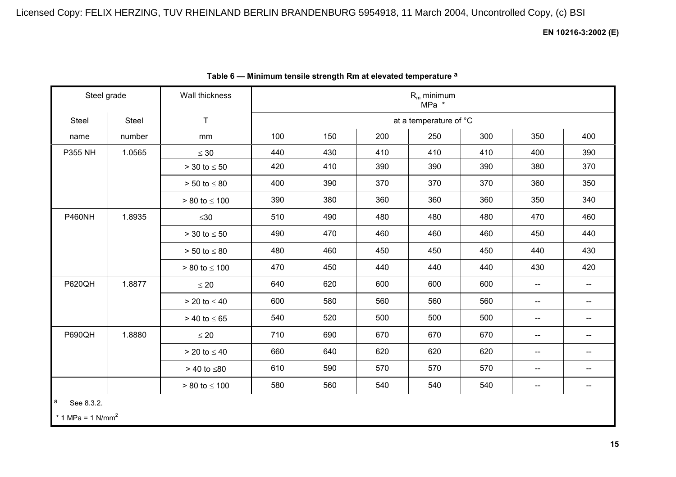**EN 10216-3:2002 (E)**

| Steel grade    |              | Wall thickness       |     |     |     | $R_m$ minimum<br>MPa * |     |                                       |                   |
|----------------|--------------|----------------------|-----|-----|-----|------------------------|-----|---------------------------------------|-------------------|
| <b>Steel</b>   | <b>Steel</b> | $\top$               |     |     |     | at a temperature of °C |     |                                       |                   |
| name           | number       | mm                   | 100 | 150 | 200 | 250                    | 300 | 350                                   | 400               |
| <b>P355 NH</b> | 1.0565       | $\leq 30$            | 440 | 430 | 410 | 410                    | 410 | 400                                   | 390               |
|                |              | $> 30$ to $\leq 50$  | 420 | 410 | 390 | 390                    | 390 | 380                                   | 370               |
|                |              | $> 50$ to $\leq 80$  | 400 | 390 | 370 | 370                    | 370 | 360                                   | 350               |
|                |              | $> 80$ to $\leq 100$ | 390 | 380 | 360 | 360                    | 360 | 350                                   | 340               |
| <b>P460NH</b>  | 1.8935       | $\leq 30$            | 510 | 490 | 480 | 480                    | 480 | 470                                   | 460               |
|                |              | $> 30$ to $\leq 50$  | 490 | 470 | 460 | 460                    | 460 | 450                                   | 440               |
|                |              | $> 50$ to $\leq 80$  | 480 | 460 | 450 | 450                    | 450 | 440                                   | 430               |
|                |              | $> 80$ to $\leq 100$ | 470 | 450 | 440 | 440                    | 440 | 430                                   | 420               |
| <b>P620QH</b>  | 1.8877       | $\leq 20$            | 640 | 620 | 600 | 600                    | 600 | $\overline{\phantom{a}}$              | $\qquad \qquad -$ |
|                |              | $> 20$ to $\leq 40$  | 600 | 580 | 560 | 560                    | 560 | $\overline{\phantom{m}}$              | --                |
|                |              | $> 40$ to $\le 65$   | 540 | 520 | 500 | 500                    | 500 | $\hspace{0.05cm}$ – $\hspace{0.05cm}$ | --                |
| <b>P690QH</b>  | 1.8880       | $\leq 20$            | 710 | 690 | 670 | 670                    | 670 | $\overline{\phantom{a}}$              | $-$               |
|                |              | $> 20$ to $\leq 40$  | 660 | 640 | 620 | 620                    | 620 | $\hspace{0.05cm}$ – $\hspace{0.05cm}$ | --                |
|                |              | $> 40$ to $\leq 80$  | 610 | 590 | 570 | 570                    | 570 | $\hspace{0.05cm}$ – $\hspace{0.05cm}$ | --                |
|                |              | $> 80$ to $\leq 100$ | 580 | 560 | 540 | 540                    | 540 | $\overline{\phantom{a}}$              | --                |

<sup>a</sup> See 8.3.2.

\* 1 MPa = 1  $N/mm^2$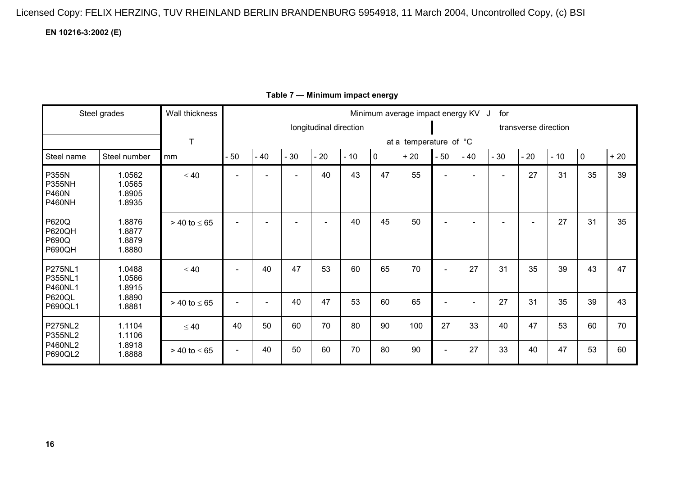|                                                                | Steel grades                         | Wall thickness     |                          |                          |       |                        |       |                | Minimum average impact energy KV J |                          |                          | for                      |                      |       |                |       |
|----------------------------------------------------------------|--------------------------------------|--------------------|--------------------------|--------------------------|-------|------------------------|-------|----------------|------------------------------------|--------------------------|--------------------------|--------------------------|----------------------|-------|----------------|-------|
|                                                                |                                      |                    |                          |                          |       | longitudinal direction |       |                |                                    |                          |                          |                          | transverse direction |       |                |       |
|                                                                |                                      | T                  |                          |                          |       |                        |       |                | at a temperature of °C             |                          |                          |                          |                      |       |                |       |
| Steel name                                                     | Steel number                         | mm                 | - 50                     | $-40$                    | $-30$ | $-20$                  | $-10$ | $\overline{0}$ | $+20$                              | 50                       | $-40$                    | $-30$                    | $-20$                | $-10$ | $\overline{0}$ | $+20$ |
| <b>P355N</b><br><b>P355NH</b><br><b>P460N</b><br><b>P460NH</b> | 1.0562<br>1.0565<br>1.8905<br>1.8935 | $\leq 40$          | $\overline{\phantom{m}}$ |                          |       | 40                     | 43    | 47             | 55                                 | $\blacksquare$           | $\overline{\phantom{a}}$ | $\blacksquare$           | 27                   | 31    | 35             | 39    |
| P620Q<br><b>P620QH</b><br>P690Q<br><b>P690QH</b>               | 1.8876<br>1.8877<br>1.8879<br>1.8880 | $> 40$ to $\le 65$ | $\overline{\phantom{a}}$ |                          |       |                        | 40    | 45             | 50                                 | $\overline{\phantom{0}}$ | $\overline{\phantom{0}}$ | $\overline{\phantom{a}}$ |                      | 27    | 31             | 35    |
| P275NL1<br>P355NL1<br>P460NL1                                  | 1.0488<br>1.0566<br>1.8915           | $\leq 40$          | $\overline{\phantom{a}}$ | 40                       | 47    | 53                     | 60    | 65             | 70                                 | ÷                        | 27                       | 31                       | 35                   | 39    | 43             | 47    |
| <b>P620QL</b><br>P690QL1                                       | 1.8890<br>1.8881                     | $> 40$ to $\le 65$ | $\overline{\phantom{a}}$ | $\overline{\phantom{a}}$ | 40    | 47                     | 53    | 60             | 65                                 | $\overline{\phantom{a}}$ | $\overline{\phantom{a}}$ | 27                       | 31                   | 35    | 39             | 43    |
| <b>P275NL2</b><br>P355NL2                                      | 1.1104<br>1.1106                     | $\leq 40$          | 40                       | 50                       | 60    | 70                     | 80    | 90             | 100                                | 27                       | 33                       | 40                       | 47                   | 53    | 60             | 70    |
| <b>P460NL2</b><br><b>P690QL2</b>                               | 1.8918<br>1.8888                     | $> 40$ to $\le 65$ | $\sim$                   | 40                       | 50    | 60                     | 70    | 80             | 90                                 | $\overline{\phantom{a}}$ | 27                       | 33                       | 40                   | 47    | 53             | 60    |

#### **Table 7 — Minimum impact energy**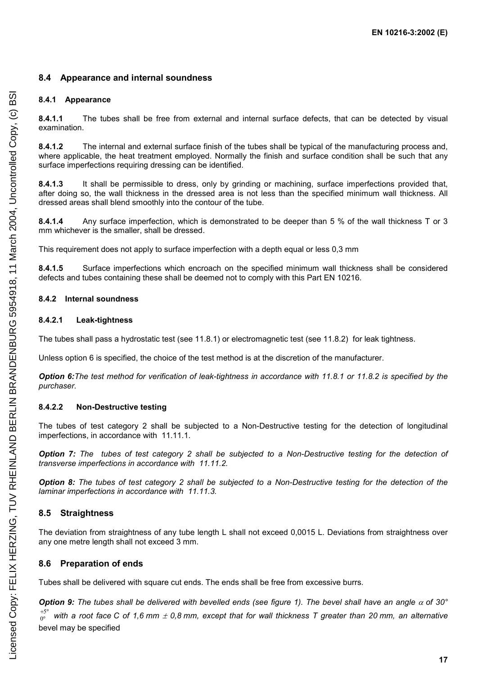#### **8.4 Appearance and internal soundness**

#### **8.4.1 Appearance**

**8.4.1.1** The tubes shall be free from external and internal surface defects, that can be detected by visual examination.

**8.4.1.2** The internal and external surface finish of the tubes shall be typical of the manufacturing process and, where applicable, the heat treatment employed. Normally the finish and surface condition shall be such that any surface imperfections requiring dressing can be identified.

**8.4.1.3** It shall be permissible to dress, only by grinding or machining, surface imperfections provided that, after doing so, the wall thickness in the dressed area is not less than the specified minimum wall thickness. All dressed areas shall blend smoothly into the contour of the tube.

**8.4.1.4** Any surface imperfection, which is demonstrated to be deeper than 5 % of the wall thickness T or 3 mm whichever is the smaller, shall be dressed.

This requirement does not apply to surface imperfection with a depth equal or less 0,3 mm

**8.4.1.5** Surface imperfections which encroach on the specified minimum wall thickness shall be considered defects and tubes containing these shall be deemed not to comply with this Part EN 10216.

#### **8.4.2 Internal soundness**

#### **8.4.2.1 Leak-tightness**

The tubes shall pass a hydrostatic test (see 11.8.1) or electromagnetic test (see 11.8.2) for leak tightness.

Unless option 6 is specified, the choice of the test method is at the discretion of the manufacturer.

*Option 6:The test method for verification of leak-tightness in accordance with 11.8.1 or 11.8.2 is specified by the purchaser.*

#### **8.4.2.2 Non-Destructive testing**

The tubes of test category 2 shall be subjected to a Non-Destructive testing for the detection of longitudinal imperfections, in accordance with 11.11.1.

*Option 7: The tubes of test category 2 shall be subjected to a Non-Destructive testing for the detection of transverse imperfections in accordance with 11.11.2.*

*Option 8: The tubes of test category 2 shall be subjected to a Non-Destructive testing for the detection of the laminar imperfections in accordance with 11.11.3.*

#### **8.5 Straightness**

The deviation from straightness of any tube length L shall not exceed 0,0015 L. Deviations from straightness over any one metre length shall not exceed 3 mm.

#### **8.6 Preparation of ends**

Tubes shall be delivered with square cut ends. The ends shall be free from excessive burrs.

**Option 9:** The tubes shall be delivered with bevelled ends (see figure 1). The bevel shall have an angle  $\alpha$  of 30°  $+5^\circ$  $^{+5^{\circ}}_{0^{\circ}}$  with a root face C of 1,6 mm  $\pm$  0,8 mm, except that for wall thickness T greater than 20 mm, an alternative bevel may be specified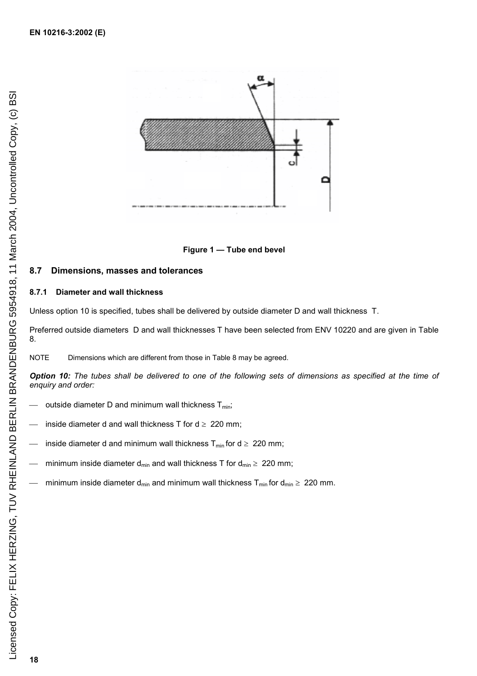

**Figure 1 — Tube end bevel**

#### **8.7 Dimensions, masses and tolerances**

#### **8.7.1 Diameter and wall thickness**

Unless option 10 is specified, tubes shall be delivered by outside diameter D and wall thickness T.

Preferred outside diameters D and wall thicknesses T have been selected from ENV 10220 and are given in Table 8.

NOTE Dimensions which are different from those in Table 8 may be agreed.

*Option 10: The tubes shall be delivered to one of the following sets of dimensions as specified at the time of enquiry and order:*

- outside diameter D and minimum wall thickness  $T_{min}$ ;
- $-$  inside diameter d and wall thickness T for d  $\geq 220$  mm;
- inside diameter d and minimum wall thickness T<sub>min</sub> for d  $\geq 220$  mm;
- $-$  minimum inside diameter d<sub>min</sub> and wall thickness T for d<sub>min</sub>  $\geq 220$  mm;
- minimum inside diameter d<sub>min</sub> and minimum wall thickness T<sub>min</sub> for d<sub>min</sub>  $\geq 220$  mm.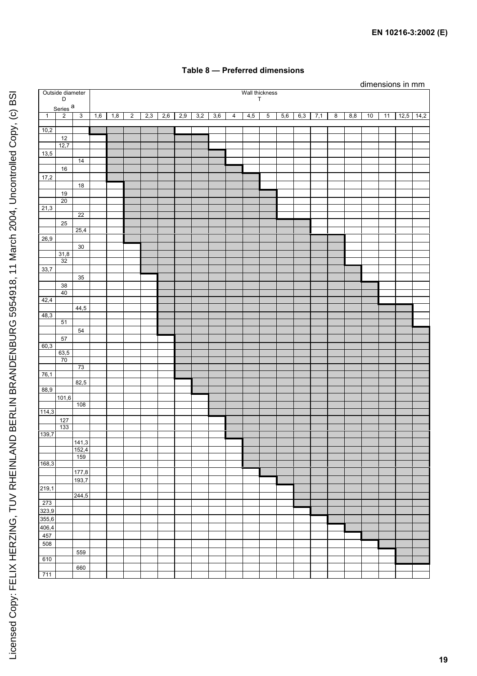|       |                                                          |                       | dimensions in mm |     |                |     |     |     |     |     |   |                |                 |     |     |     |                         |     |    |    |             |  |
|-------|----------------------------------------------------------|-----------------------|------------------|-----|----------------|-----|-----|-----|-----|-----|---|----------------|-----------------|-----|-----|-----|-------------------------|-----|----|----|-------------|--|
|       | Outside diameter                                         |                       |                  |     |                |     |     |     |     |     |   | Wall thickness |                 |     |     |     |                         |     |    |    |             |  |
|       | $\mathsf D$                                              |                       |                  |     |                |     |     |     |     |     |   | $\top$         |                 |     |     |     |                         |     |    |    |             |  |
|       | Series $\begin{array}{c c} 3 \ \hline 1 & 2 \end{array}$ | $\overline{3}$        | 1,6              | 1,8 | $\overline{2}$ | 2,3 | 2,6 | 2,9 | 3,2 | 3,6 | 4 | 4,5            | $5\overline{)}$ | 5,6 | 6,3 | 7,1 | $\overline{\mathbf{8}}$ | 8,8 | 10 | 11 | $12,5$ 14,2 |  |
|       |                                                          |                       |                  |     |                |     |     |     |     |     |   |                |                 |     |     |     |                         |     |    |    |             |  |
| 10,2  |                                                          |                       |                  |     |                |     |     |     |     |     |   |                |                 |     |     |     |                         |     |    |    |             |  |
|       | 12                                                       |                       |                  |     |                |     |     |     |     |     |   |                |                 |     |     |     |                         |     |    |    |             |  |
|       | 12,7                                                     |                       |                  |     |                |     |     |     |     |     |   |                |                 |     |     |     |                         |     |    |    |             |  |
| 13,5  |                                                          | 14                    |                  |     |                |     |     |     |     |     |   |                |                 |     |     |     |                         |     |    |    |             |  |
|       | $16\,$                                                   |                       |                  |     |                |     |     |     |     |     |   |                |                 |     |     |     |                         |     |    |    |             |  |
| 17,2  |                                                          |                       |                  |     |                |     |     |     |     |     |   |                |                 |     |     |     |                         |     |    |    |             |  |
|       |                                                          | 18                    |                  |     |                |     |     |     |     |     |   |                |                 |     |     |     |                         |     |    |    |             |  |
|       | 19                                                       |                       |                  |     |                |     |     |     |     |     |   |                |                 |     |     |     |                         |     |    |    |             |  |
|       | 20                                                       |                       |                  |     |                |     |     |     |     |     |   |                |                 |     |     |     |                         |     |    |    |             |  |
| 21,3  |                                                          | 22                    |                  |     |                |     |     |     |     |     |   |                |                 |     |     |     |                         |     |    |    |             |  |
|       | 25                                                       |                       |                  |     |                |     |     |     |     |     |   |                |                 |     |     |     |                         |     |    |    |             |  |
|       |                                                          | 25,4                  |                  |     |                |     |     |     |     |     |   |                |                 |     |     |     |                         |     |    |    |             |  |
| 26,9  |                                                          |                       |                  |     |                |     |     |     |     |     |   |                |                 |     |     |     |                         |     |    |    |             |  |
|       |                                                          | $30\,$                |                  |     |                |     |     |     |     |     |   |                |                 |     |     |     |                         |     |    |    |             |  |
|       | 31,8<br>32                                               |                       |                  |     |                |     |     |     |     |     |   |                |                 |     |     |     |                         |     |    |    |             |  |
| 33,7  |                                                          |                       |                  |     |                |     |     |     |     |     |   |                |                 |     |     |     |                         |     |    |    |             |  |
|       |                                                          | 35                    |                  |     |                |     |     |     |     |     |   |                |                 |     |     |     |                         |     |    |    |             |  |
|       | 38                                                       |                       |                  |     |                |     |     |     |     |     |   |                |                 |     |     |     |                         |     |    |    |             |  |
|       | 40                                                       |                       |                  |     |                |     |     |     |     |     |   |                |                 |     |     |     |                         |     |    |    |             |  |
| 42,4  |                                                          |                       |                  |     |                |     |     |     |     |     |   |                |                 |     |     |     |                         |     |    |    |             |  |
|       |                                                          | 44,5                  |                  |     |                |     |     |     |     |     |   |                |                 |     |     |     |                         |     |    |    |             |  |
| 48,3  | 51                                                       |                       |                  |     |                |     |     |     |     |     |   |                |                 |     |     |     |                         |     |    |    |             |  |
|       |                                                          | 54                    |                  |     |                |     |     |     |     |     |   |                |                 |     |     |     |                         |     |    |    |             |  |
|       | 57                                                       |                       |                  |     |                |     |     |     |     |     |   |                |                 |     |     |     |                         |     |    |    |             |  |
| 60,3  |                                                          |                       |                  |     |                |     |     |     |     |     |   |                |                 |     |     |     |                         |     |    |    |             |  |
|       | 63,5<br>70                                               |                       |                  |     |                |     |     |     |     |     |   |                |                 |     |     |     |                         |     |    |    |             |  |
|       |                                                          | 73                    |                  |     |                |     |     |     |     |     |   |                |                 |     |     |     |                         |     |    |    |             |  |
| 76,1  |                                                          |                       |                  |     |                |     |     |     |     |     |   |                |                 |     |     |     |                         |     |    |    |             |  |
|       |                                                          | 82,5                  |                  |     |                |     |     |     |     |     |   |                |                 |     |     |     |                         |     |    |    |             |  |
| 88,9  |                                                          |                       |                  |     |                |     |     |     |     |     |   |                |                 |     |     |     |                         |     |    |    |             |  |
|       | 101,6                                                    | 108                   |                  |     |                |     |     |     |     |     |   |                |                 |     |     |     |                         |     |    |    |             |  |
| 114,3 |                                                          |                       |                  |     |                |     |     |     |     |     |   |                |                 |     |     |     |                         |     |    |    |             |  |
|       | $\overline{127}$                                         |                       |                  |     |                |     |     |     |     |     |   |                |                 |     |     |     |                         |     |    |    |             |  |
|       | 133                                                      |                       |                  |     |                |     |     |     |     |     |   |                |                 |     |     |     |                         |     |    |    |             |  |
| 139,7 |                                                          |                       |                  |     |                |     |     |     |     |     |   |                |                 |     |     |     |                         |     |    |    |             |  |
|       |                                                          | $\frac{141,3}{152,4}$ |                  |     |                |     |     |     |     |     |   |                |                 |     |     |     |                         |     |    |    |             |  |
|       |                                                          | 159                   |                  |     |                |     |     |     |     |     |   |                |                 |     |     |     |                         |     |    |    |             |  |
| 168,3 |                                                          |                       |                  |     |                |     |     |     |     |     |   |                |                 |     |     |     |                         |     |    |    |             |  |
|       |                                                          | 177,8                 |                  |     |                |     |     |     |     |     |   |                |                 |     |     |     |                         |     |    |    |             |  |
|       |                                                          | 193,7                 |                  |     |                |     |     |     |     |     |   |                |                 |     |     |     |                         |     |    |    |             |  |
| 219,1 |                                                          | 244,5                 |                  |     |                |     |     |     |     |     |   |                |                 |     |     |     |                         |     |    |    |             |  |
| 273   |                                                          |                       |                  |     |                |     |     |     |     |     |   |                |                 |     |     |     |                         |     |    |    |             |  |
| 323,9 |                                                          |                       |                  |     |                |     |     |     |     |     |   |                |                 |     |     |     |                         |     |    |    |             |  |
| 355,6 |                                                          |                       |                  |     |                |     |     |     |     |     |   |                |                 |     |     |     |                         |     |    |    |             |  |
| 406,4 |                                                          |                       |                  |     |                |     |     |     |     |     |   |                |                 |     |     |     |                         |     |    |    |             |  |
| 457   |                                                          |                       |                  |     |                |     |     |     |     |     |   |                |                 |     |     |     |                         |     |    |    |             |  |
| 508   |                                                          |                       |                  |     |                |     |     |     |     |     |   |                |                 |     |     |     |                         |     |    |    |             |  |
|       |                                                          | 559                   |                  |     |                |     |     |     |     |     |   |                |                 |     |     |     |                         |     |    |    |             |  |
| 610   |                                                          | 660                   |                  |     |                |     |     |     |     |     |   |                |                 |     |     |     |                         |     |    |    |             |  |
| 711   |                                                          |                       |                  |     |                |     |     |     |     |     |   |                |                 |     |     |     |                         |     |    |    |             |  |

#### **Table 8 — Preferred dimensions**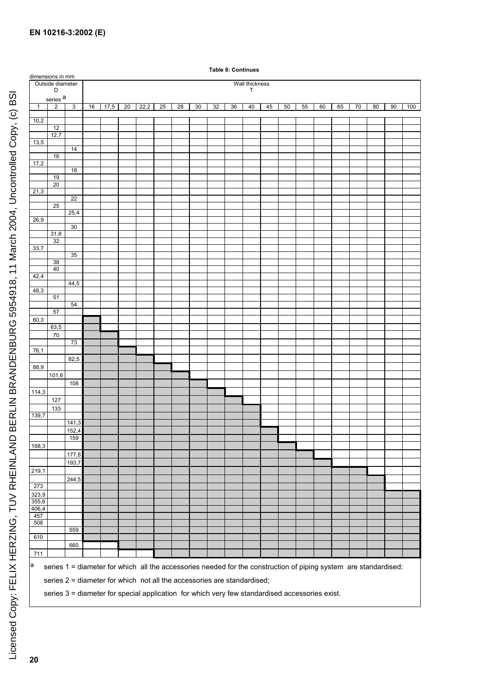dimensions in mm Outside diameter D series<sup>a</sup> Wall thickness T 1 | 2 | 3 | 16 | 17,5 | 20 | 22,2 | 25 | 28 | 30 | 32 | 36 | 40 | 45 | 50 | 55 | 60 | 65 | 70 | 80 | 90 | 100 10,2 12 12,7 13,5 14 16 17,2 18 19 20 21,3 22 25 25,4 26,9 30 31,8 32 33,7 35 38 40 42,4 44,5 48,3 51 54 57 60,3 63,5 70 73 76,1 82,5 88,9 101,6 108 114,3 127 133 139,7 141,3  $152,4$  $\frac{155}{159}$ 168,3 177,8 193,7 219,1 244,5 273 323,9 355,6 406,4 457 508 559 610 660 711  $a$  series 1 = diameter for which all the accessories needed for the construction of piping system are standardised:

series 2 = diameter for which not all the accessories are standardised;

series 3 = diameter for special application for which very few standardised accessories exist.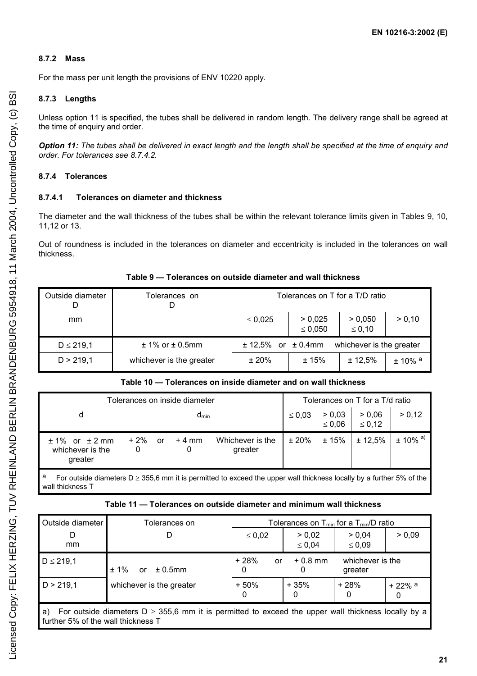#### **8.7.2 Mass**

For the mass per unit length the provisions of ENV 10220 apply.

#### **8.7.3 Lengths**

Unless option 11 is specified, the tubes shall be delivered in random length. The delivery range shall be agreed at the time of enquiry and order.

*Option 11: The tubes shall be delivered in exact length and the length shall be specified at the time of enquiry and order. For tolerances see 8.7.4.2.*

#### **8.7.4 Tolerances**

#### **8.7.4.1 Tolerances on diameter and thickness**

The diameter and the wall thickness of the tubes shall be within the relevant tolerance limits given in Tables 9, 10, 11,12 or 13.

Out of roundness is included in the tolerances on diameter and eccentricity is included in the tolerances on wall thickness.

| Outside diameter<br>D | Tolerances on            | Tolerances on T for a T/D ratio |                         |                          |                       |  |  |  |  |
|-----------------------|--------------------------|---------------------------------|-------------------------|--------------------------|-----------------------|--|--|--|--|
| mm                    |                          | $\leq 0,025$                    | > 0,025<br>$\leq 0,050$ | > 0.050<br>$\leq 0,10$   | > 0.10                |  |  |  |  |
| $D \le 219,1$         | $± 1\%$ or $± 0.5$ mm    | $± 12,5%$ or $± 0.4$ mm         |                         | whichever is the greater |                       |  |  |  |  |
| D > 219.1             | whichever is the greater | ±20%                            | ± 15%                   | ± 12,5%                  | $± 10\%$ <sup>a</sup> |  |  |  |  |

#### **Table 9 — Tolerances on outside diameter and wall thickness**

#### **Table 10 — Tolerances on inside diameter and on wall thickness**

| Tolerances on inside diameter                         |                              |                             |                       | Tolerances on T for a T/d ratio |         |                         |  |  |
|-------------------------------------------------------|------------------------------|-----------------------------|-----------------------|---------------------------------|---------|-------------------------|--|--|
|                                                       | $\mathsf{d}_{\mathsf{min}}$  | $\leq 0.03$                 | > 0,03<br>$\leq 0.06$ | > 0,06<br>$\leq 0,12$           | > 0.12  |                         |  |  |
| $\pm$ 1% or $\pm$ 2 mm<br>whichever is the<br>greater | $+2\%$<br>$+4$ mm<br>or<br>O | Whichever is the<br>greater | ± 20%                 | ±15%                            | ± 12,5% | $\pm$ 10% <sup>a)</sup> |  |  |

a For outside diameters  $D \ge 355.6$  mm it is permitted to exceed the upper wall thickness locally by a further 5% of the wall thickness T

| Table 11 — Tolerances on outside diameter and minimum wall thickness |
|----------------------------------------------------------------------|
|----------------------------------------------------------------------|

| Outside diameter | Tolerances on                | Tolerances on $T_{min}$ for a $T_{min}/D$ ratio |                       |                             |                |  |
|------------------|------------------------------|-------------------------------------------------|-----------------------|-----------------------------|----------------|--|
| D<br>mm          | D                            | $\leq 0.02$                                     | > 0,02<br>$\leq 0.04$ | > 0,04<br>$\leq 0.09$       | > 0.09         |  |
| $D \le 219,1$    | $± 1\%$<br>$\pm$ 0.5mm<br>or | $+28%$<br><b>or</b>                             | $+0.8$ mm<br>Ü        | whichever is the<br>greater |                |  |
| D > 219.1        | whichever is the greater     | $+50%$<br>0                                     | $+35%$<br>0           | $+28%$                      | $+22\%$ a<br>0 |  |

a) For outside diameters  $D \geq 355.6$  mm it is permitted to exceed the upper wall thickness locally by a further 5% of the wall thickness T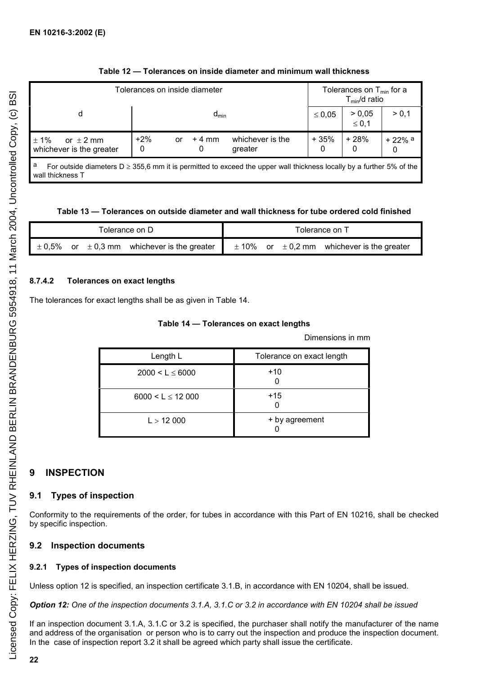| Tolerances on inside diameter                                                                                                                     |                                                                             | Tolerances on $T_{min}$ for a<br>$T_{min}/d$ ratio |                        |                |  |  |
|---------------------------------------------------------------------------------------------------------------------------------------------------|-----------------------------------------------------------------------------|----------------------------------------------------|------------------------|----------------|--|--|
| d                                                                                                                                                 | $d_{\text{min}}$                                                            | $\leq 0.05$                                        | $> 0,05$<br>$\leq 0,1$ | > 0,1          |  |  |
| $± 1\%$<br>or $\pm$ 2 mm<br>whichever is the greater                                                                                              | $+2\%$<br>whichever is the<br>$+4$ mm<br><sub>or</sub><br>0<br>greater<br>0 | + 35%<br>0                                         | $+28%$<br>0            | $+22\%$ a<br>0 |  |  |
| a<br>For outside diameters $D \ge 355.6$ mm it is permitted to exceed the upper wall thickness locally by a further 5% of the<br>wall thickness T |                                                                             |                                                    |                        |                |  |  |

|  | Table 12 – Tolerances on inside diameter and minimum wall thickness |  |
|--|---------------------------------------------------------------------|--|
|  |                                                                     |  |

#### **Table 13 — Tolerances on outside diameter and wall thickness for tube ordered cold finished**

| Tolerance on D |                                          |  | Tolerance on T |  |  |                                          |  |
|----------------|------------------------------------------|--|----------------|--|--|------------------------------------------|--|
| $± 0.5\%$      | or $\pm$ 0,3 mm whichever is the greater |  | $\pm$ 10%      |  |  | or $\pm$ 0,2 mm whichever is the greater |  |

#### **8.7.4.2 Tolerances on exact lengths**

The tolerances for exact lengths shall be as given in Table 14.

#### **Table 14 — Tolerances on exact lengths**

Dimensions in mm

| Length L             | Tolerance on exact length |
|----------------------|---------------------------|
| $2000 < L \leq 6000$ | $+10$                     |
| $6000 < L \le 12000$ | $+15$                     |
| L > 12000            | + by agreement            |

#### **9 INSPECTION**

#### **9.1 Types of inspection**

Conformity to the requirements of the order, for tubes in accordance with this Part of EN 10216, shall be checked by specific inspection.

#### **9.2 Inspection documents**

#### **9.2.1 Types of inspection documents**

Unless option 12 is specified, an inspection certificate 3.1.B, in accordance with EN 10204, shall be issued.

*Option 12: One of the inspection documents 3.1.A, 3.1.C or 3.2 in accordance with EN 10204 shall be issued*

If an inspection document 3.1.A, 3.1.C or 3.2 is specified, the purchaser shall notify the manufacturer of the name and address of the organisation or person who is to carry out the inspection and produce the inspection document. In the case of inspection report 3.2 it shall be agreed which party shall issue the certificate.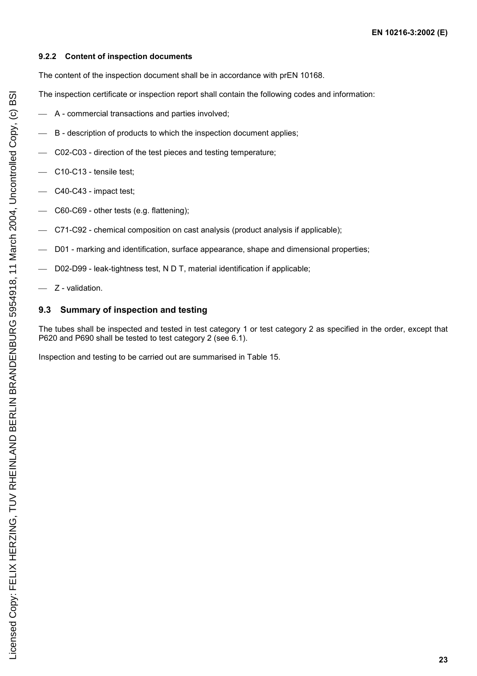#### **9.2.2 Content of inspection documents**

The content of the inspection document shall be in accordance with prEN 10168.

The inspection certificate or inspection report shall contain the following codes and information:

- A commercial transactions and parties involved;
- B description of products to which the inspection document applies;
- C02-C03 direction of the test pieces and testing temperature;
- C10-C13 tensile test;
- C40-C43 impact test;
- C60-C69 other tests (e.g. flattening);
- C71-C92 chemical composition on cast analysis (product analysis if applicable);
- D01 marking and identification, surface appearance, shape and dimensional properties;
- D02-D99 leak-tightness test, N D T, material identification if applicable;
- Z validation.

#### **9.3 Summary of inspection and testing**

The tubes shall be inspected and tested in test category 1 or test category 2 as specified in the order, except that P620 and P690 shall be tested to test category 2 (see 6.1).

Inspection and testing to be carried out are summarised in Table 15.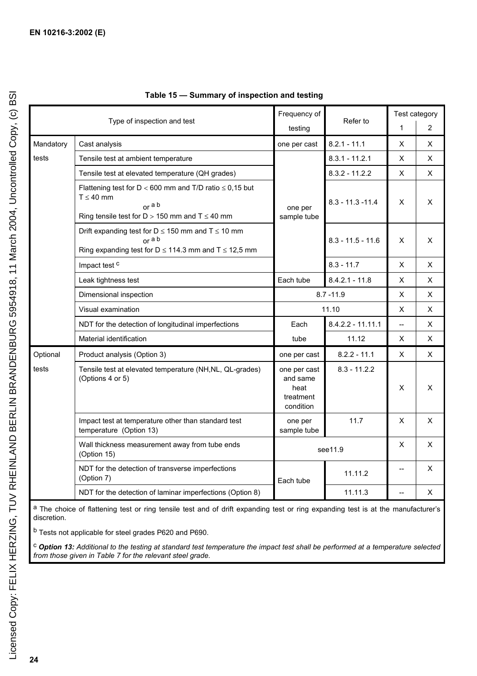| Type of inspection and test |                                                                                                                                                         | Frequency of                                               | Refer to            | Test category             |                |
|-----------------------------|---------------------------------------------------------------------------------------------------------------------------------------------------------|------------------------------------------------------------|---------------------|---------------------------|----------------|
|                             |                                                                                                                                                         | testing                                                    |                     | 1                         | $\overline{2}$ |
| Mandatory                   | Cast analysis                                                                                                                                           | one per cast                                               | $8.2.1 - 11.1$      | X                         | X              |
| tests                       | Tensile test at ambient temperature                                                                                                                     |                                                            | $8.3.1 - 11.2.1$    | X                         | X              |
|                             | Tensile test at elevated temperature (QH grades)                                                                                                        |                                                            | $8.3.2 - 11.2.2$    | $\boldsymbol{\mathsf{X}}$ | X              |
|                             | Flattening test for $D < 600$ mm and T/D ratio $\le 0.15$ but<br>$T \leq 40$ mm<br>$\alpha$ rab<br>Ring tensile test for $D > 150$ mm and $T \le 40$ mm | one per<br>sample tube                                     | $8.3 - 11.3 - 11.4$ | X                         | X              |
|                             | Drift expanding test for $D \le 150$ mm and T $\le 10$ mm<br>or a b<br>Ring expanding test for $D \le 114.3$ mm and T $\le 12.5$ mm                     |                                                            | $8.3 - 11.5 - 11.6$ | X                         | X.             |
|                             | Impact test c                                                                                                                                           |                                                            | $8.3 - 11.7$        | X                         | X.             |
|                             | Leak tightness test                                                                                                                                     | Each tube                                                  | $8.4.2.1 - 11.8$    | X                         | X.             |
|                             | Dimensional inspection                                                                                                                                  |                                                            | $8.7 - 11.9$        | $\boldsymbol{\mathsf{X}}$ | X              |
|                             | Visual examination                                                                                                                                      | 11.10                                                      |                     | X                         | X              |
|                             | NDT for the detection of longitudinal imperfections                                                                                                     | Each                                                       | $8.4.2.2 - 11.11.1$ | --                        | X              |
|                             | Material identification                                                                                                                                 | tube                                                       | 11.12               | X                         | X              |
| Optional                    | Product analysis (Option 3)                                                                                                                             | one per cast                                               | $8.2.2 - 11.1$      | X                         | X              |
| tests                       | Tensile test at elevated temperature (NH, NL, QL-grades)<br>(Options 4 or 5)                                                                            | one per cast<br>and same<br>heat<br>treatment<br>condition | $8.3 - 11.2.2$      | Χ                         | X              |
|                             | Impact test at temperature other than standard test<br>temperature (Option 13)                                                                          | one per<br>sample tube                                     | 11.7                | X                         | X              |
|                             | Wall thickness measurement away from tube ends<br>(Option 15)                                                                                           | see11.9                                                    |                     | $\pmb{\times}$            | X              |
|                             | NDT for the detection of transverse imperfections<br>(Option 7)                                                                                         | Each tube                                                  | 11.11.2             | --                        | X              |
|                             | NDT for the detection of laminar imperfections (Option 8)                                                                                               |                                                            | 11.11.3             |                           | X              |

#### **Table 15 — Summary of inspection and testing**

a The choice of flattening test or ring tensile test and of drift expanding test or ring expanding test is at the manufacturer's discretion.

b Tests not applicable for steel grades P620 and P690.

c *Option 13: Additional to the testing at standard test temperature the impact test shall be performed at a temperature selected from those given in Table 7 for the relevant steel grade.*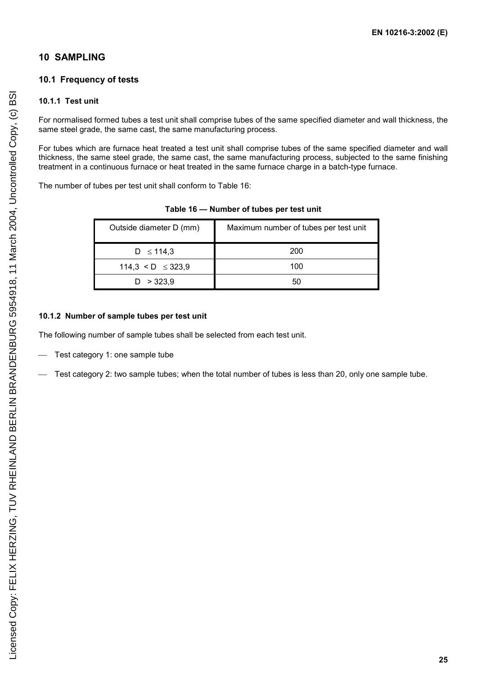#### **10 SAMPLING**

#### **10.1 Frequency of tests**

#### **10.1.1 Test unit**

For normalised formed tubes a test unit shall comprise tubes of the same specified diameter and wall thickness, the same steel grade, the same cast, the same manufacturing process.

For tubes which are furnace heat treated a test unit shall comprise tubes of the same specified diameter and wall thickness, the same steel grade, the same cast, the same manufacturing process, subjected to the same finishing treatment in a continuous furnace or heat treated in the same furnace charge in a batch-type furnace.

The number of tubes per test unit shall conform to Table 16:

| Outside diameter D (mm) | Maximum number of tubes per test unit |
|-------------------------|---------------------------------------|
| D $\leq$ 114,3          | 200                                   |
| $114.3 < D \leq 323.9$  | 100                                   |
| > 323.9                 | 50                                    |

**Table 16 — Number of tubes per test unit**

#### **10.1.2 Number of sample tubes per test unit**

The following number of sample tubes shall be selected from each test unit.

- Test category 1: one sample tube
- Test category 2: two sample tubes; when the total number of tubes is less than 20, only one sample tube.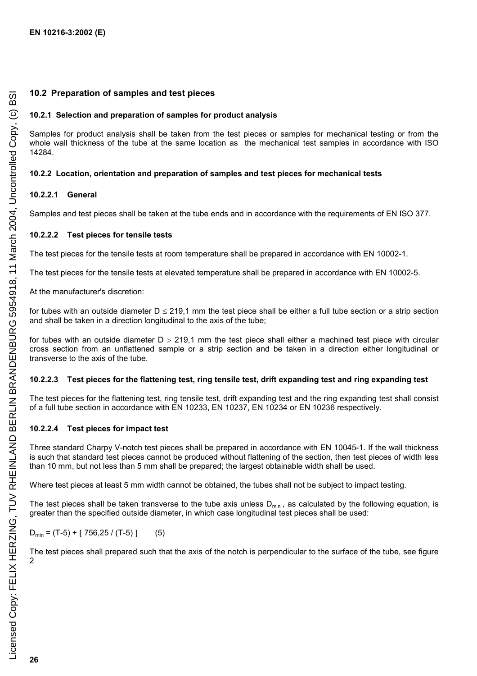#### **10.2 Preparation of samples and test pieces**

#### **10.2.1 Selection and preparation of samples for product analysis**

Samples for product analysis shall be taken from the test pieces or samples for mechanical testing or from the whole wall thickness of the tube at the same location as the mechanical test samples in accordance with ISO 14284.

#### **10.2.2 Location, orientation and preparation of samples and test pieces for mechanical tests**

#### **10.2.2.1 General**

Samples and test pieces shall be taken at the tube ends and in accordance with the requirements of EN ISO 377.

#### **10.2.2.2 Test pieces for tensile tests**

The test pieces for the tensile tests at room temperature shall be prepared in accordance with EN 10002-1.

The test pieces for the tensile tests at elevated temperature shall be prepared in accordance with EN 10002-5.

At the manufacturer's discretion:

for tubes with an outside diameter  $D \le 219.1$  mm the test piece shall be either a full tube section or a strip section and shall be taken in a direction longitudinal to the axis of the tube;

for tubes with an outside diameter  $D > 219.1$  mm the test piece shall either a machined test piece with circular cross section from an unflattened sample or a strip section and be taken in a direction either longitudinal or transverse to the axis of the tube.

#### **10.2.2.3 Test pieces for the flattening test, ring tensile test, drift expanding test and ring expanding test**

The test pieces for the flattening test, ring tensile test, drift expanding test and the ring expanding test shall consist of a full tube section in accordance with EN 10233, EN 10237, EN 10234 or EN 10236 respectively.

#### **10.2.2.4 Test pieces for impact test**

Three standard Charpy V-notch test pieces shall be prepared in accordance with EN 10045-1. If the wall thickness is such that standard test pieces cannot be produced without flattening of the section, then test pieces of width less than 10 mm, but not less than 5 mm shall be prepared; the largest obtainable width shall be used.

Where test pieces at least 5 mm width cannot be obtained, the tubes shall not be subject to impact testing.

The test pieces shall be taken transverse to the tube axis unless  $D_{min}$ , as calculated by the following equation, is greater than the specified outside diameter, in which case longitudinal test pieces shall be used:

$$
D_{\min} = (T-5) + [756,25 / (T-5)] \tag{5}
$$

The test pieces shall prepared such that the axis of the notch is perpendicular to the surface of the tube, see figure

2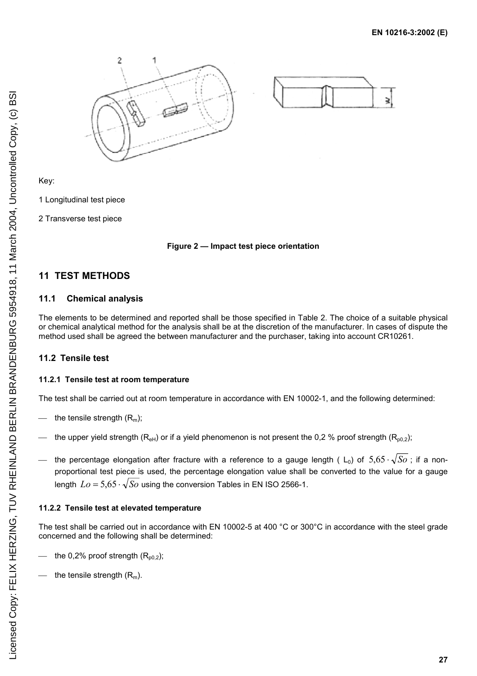Þ.



Key:

1 Longitudinal test piece

2 Transverse test piece

**Figure 2 — Impact test piece orientation**

#### **11 TEST METHODS**

#### **11.1 Chemical analysis**

The elements to be determined and reported shall be those specified in Table 2. The choice of a suitable physical or chemical analytical method for the analysis shall be at the discretion of the manufacturer. In cases of dispute the method used shall be agreed the between manufacturer and the purchaser, taking into account CR10261.

#### **11.2 Tensile test**

#### **11.2.1 Tensile test at room temperature**

The test shall be carried out at room temperature in accordance with EN 10002-1, and the following determined:

- the tensile strength  $(R_m)$ ;
- the upper yield strength ( $R_{\text{eH}}$ ) or if a yield phenomenon is not present the 0,2 % proof strength ( $R_{\text{p0,2}}$ );
- the percentage elongation after fracture with a reference to a gauge length ( $L_0$ ) of  $5.65 \cdot \sqrt{50}$ ; if a nonproportional test piece is used, the percentage elongation value shall be converted to the value for a gauge length  $\mathit{Lo}=5{,}65\cdot\sqrt{So}$  using the conversion Tables in EN ISO 2566-1.

#### **11.2.2 Tensile test at elevated temperature**

The test shall be carried out in accordance with EN 10002-5 at 400 °C or 300°C in accordance with the steel grade concerned and the following shall be determined:

- the 0,2% proof strength  $(R_{p0,2})$ ;
- the tensile strength  $(R_m)$ .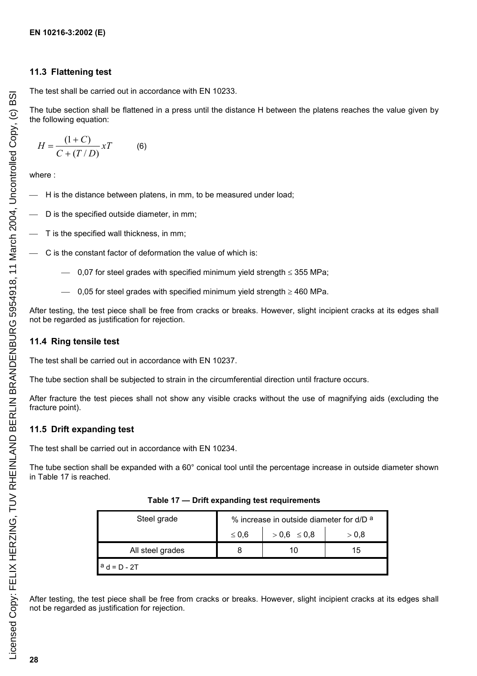#### **11.3 Flattening test**

The test shall be carried out in accordance with EN 10233.

The tube section shall be flattened in a press until the distance H between the platens reaches the value given by the following equation:

$$
H = \frac{(1+C)}{C + (T/D)} xT
$$
 (6)

where :

- H is the distance between platens, in mm, to be measured under load;
- D is the specified outside diameter, in mm;
- T is the specified wall thickness, in mm;
- C is the constant factor of deformation the value of which is:
	- $-$  0,07 for steel grades with specified minimum yield strength  $\leq$  355 MPa;
	- $-$  0,05 for steel grades with specified minimum yield strength  $\geq$  460 MPa.

After testing, the test piece shall be free from cracks or breaks. However, slight incipient cracks at its edges shall not be regarded as justification for rejection.

#### **11.4 Ring tensile test**

The test shall be carried out in accordance with EN 10237.

The tube section shall be subjected to strain in the circumferential direction until fracture occurs.

After fracture the test pieces shall not show any visible cracks without the use of magnifying aids (excluding the fracture point).

#### **11.5 Drift expanding test**

The test shall be carried out in accordance with EN 10234.

The tube section shall be expanded with a 60° conical tool until the percentage increase in outside diameter shown in Table 17 is reached.

| Steel grade      | % increase in outside diameter for d/D <sup>a</sup> |    |    |  |  |  |
|------------------|-----------------------------------------------------|----|----|--|--|--|
|                  | $> 0.6 \le 0.8$<br>$\leq 0.6$<br>> 0.8              |    |    |  |  |  |
| All steel grades |                                                     | 10 | 15 |  |  |  |
| $a$ d = D - 2T   |                                                     |    |    |  |  |  |

After testing, the test piece shall be free from cracks or breaks. However, slight incipient cracks at its edges shall not be regarded as justification for rejection.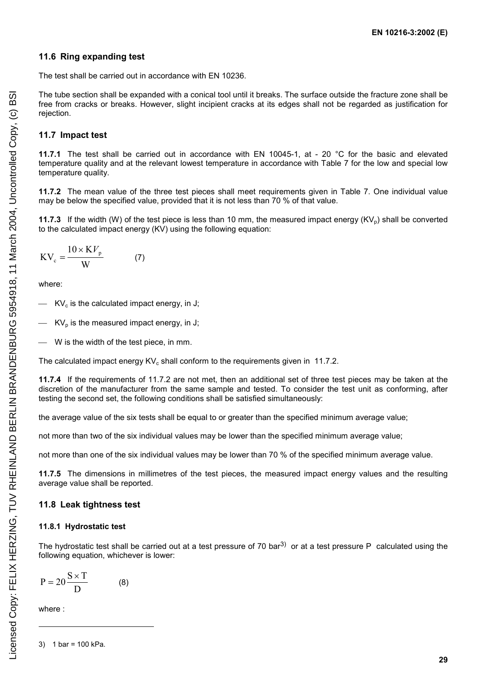#### **11.6 Ring expanding test**

The test shall be carried out in accordance with EN 10236.

The tube section shall be expanded with a conical tool until it breaks. The surface outside the fracture zone shall be free from cracks or breaks. However, slight incipient cracks at its edges shall not be regarded as justification for rejection.

#### **11.7 Impact test**

**11.7.1** The test shall be carried out in accordance with EN 10045-1, at - 20 °C for the basic and elevated temperature quality and at the relevant lowest temperature in accordance with Table 7 for the low and special low temperature quality.

**11.7.2** The mean value of the three test pieces shall meet requirements given in Table 7. One individual value may be below the specified value, provided that it is not less than 70 % of that value.

**11.7.3** If the width (W) of the test piece is less than 10 mm, the measured impact energy  $(KV_p)$  shall be converted to the calculated impact energy (KV) using the following equation:

$$
KV_c = \frac{10 \times KV_p}{W}
$$
 (7)

where:

Licensed Copy: FELIX HERZING, TUV RHEINLAND BERLIN BRANDENBURG 5954918, 11 March 2004, Uncontrolled Copy, (c) BSIicensed Copy: FELIX HERZING, TUV RHEINLAND BERLIN BRANDENBURG 5954918, 11 March 2004, Uncontrolled Copy, (c) BSI

- $\overline{K}$  KV<sub>c</sub> is the calculated impact energy, in J;
- KV<sub>p</sub> is the measured impact energy, in J;

W is the width of the test piece, in mm.

The calculated impact energy  $KV<sub>c</sub>$  shall conform to the requirements given in 11.7.2.

**11.7.4** If the requirements of 11.7.2 are not met, then an additional set of three test pieces may be taken at the discretion of the manufacturer from the same sample and tested. To consider the test unit as conforming, after testing the second set, the following conditions shall be satisfied simultaneously:

the average value of the six tests shall be equal to or greater than the specified minimum average value;

not more than two of the six individual values may be lower than the specified minimum average value;

not more than one of the six individual values may be lower than 70 % of the specified minimum average value.

**11.7.5** The dimensions in millimetres of the test pieces, the measured impact energy values and the resulting average value shall be reported.

#### **11.8 Leak tightness test**

#### **11.8.1 Hydrostatic test**

The hydrostatic test shall be carried out at a test pressure of 70 bar<sup>3)</sup> or at a test pressure P calculated using the following equation, whichever is lower:

$$
P = 20 \frac{S \times T}{D}
$$
 (8)

where :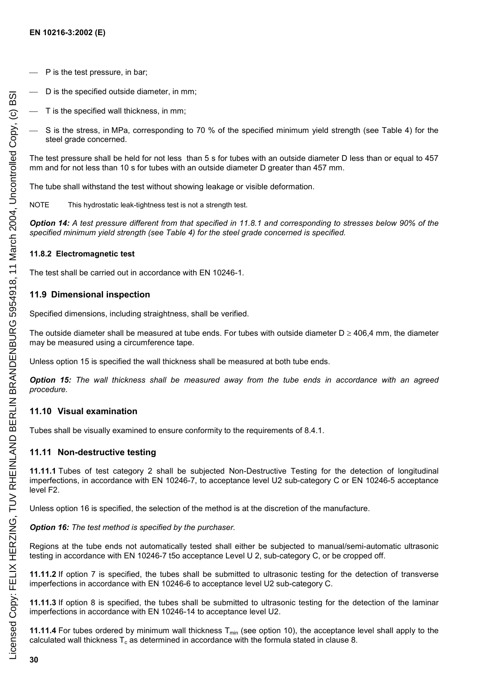- P is the test pressure, in bar;
- D is the specified outside diameter, in mm;
- T is the specified wall thickness, in mm;
- S is the stress, in MPa, corresponding to 70 % of the specified minimum yield strength (see Table 4) for the steel grade concerned.

The test pressure shall be held for not less than 5 s for tubes with an outside diameter D less than or equal to 457 mm and for not less than 10 s for tubes with an outside diameter D greater than 457 mm.

The tube shall withstand the test without showing leakage or visible deformation.

NOTE This hydrostatic leak-tightness test is not a strength test.

*Option 14: A test pressure different from that specified in 11.8.1 and corresponding to stresses below 90% of the specified minimum yield strength (see Table 4) for the steel grade concerned is specified.*

#### **11.8.2 Electromagnetic test**

The test shall be carried out in accordance with EN 10246-1.

#### **11.9 Dimensional inspection**

Specified dimensions, including straightness, shall be verified.

The outside diameter shall be measured at tube ends. For tubes with outside diameter D  $\geq$  406,4 mm, the diameter may be measured using a circumference tape.

Unless option 15 is specified the wall thickness shall be measured at both tube ends.

*Option 15: The wall thickness shall be measured away from the tube ends in accordance with an agreed procedure.*

#### **11.10 Visual examination**

Tubes shall be visually examined to ensure conformity to the requirements of 8.4.1.

#### **11.11 Non-destructive testing**

**11.11.1** Tubes of test category 2 shall be subjected Non-Destructive Testing for the detection of longitudinal imperfections, in accordance with EN 10246-7, to acceptance level U2 sub-category C or EN 10246-5 acceptance level F2.

Unless option 16 is specified, the selection of the method is at the discretion of the manufacture.

*Option 16: The test method is specified by the purchaser.*

Regions at the tube ends not automatically tested shall either be subjected to manual/semi-automatic ultrasonic testing in accordance with EN 10246-7 t5o acceptance Level U 2, sub-category C, or be cropped off.

**11.11.2** If option 7 is specified, the tubes shall be submitted to ultrasonic testing for the detection of transverse imperfections in accordance with EN 10246-6 to acceptance level U2 sub-category C.

**11.11.3** If option 8 is specified, the tubes shall be submitted to ultrasonic testing for the detection of the laminar imperfections in accordance with EN 10246-14 to acceptance level U2.

**11.11.4** For tubes ordered by minimum wall thickness T<sub>min</sub> (see option 10), the acceptance level shall apply to the calculated wall thickness  $T_c$  as determined in accordance with the formula stated in clause 8.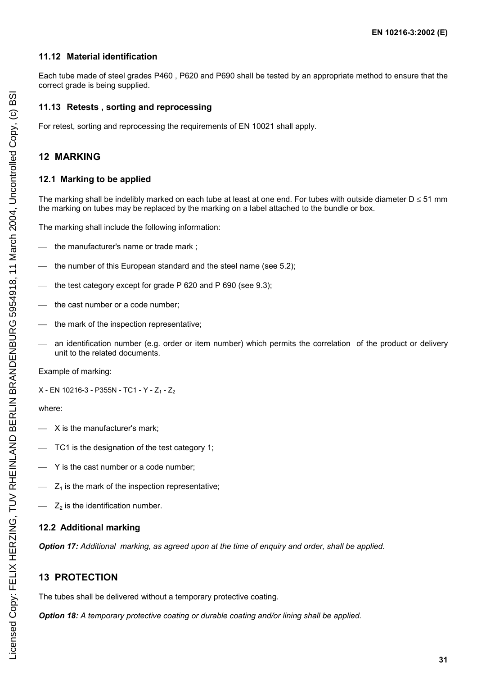#### **11.12 Material identification**

Each tube made of steel grades P460 , P620 and P690 shall be tested by an appropriate method to ensure that the correct grade is being supplied.

#### **11.13 Retests , sorting and reprocessing**

For retest, sorting and reprocessing the requirements of EN 10021 shall apply.

#### **12 MARKING**

#### **12.1 Marking to be applied**

The marking shall be indelibly marked on each tube at least at one end. For tubes with outside diameter  $D \le 51$  mm the marking on tubes may be replaced by the marking on a label attached to the bundle or box.

The marking shall include the following information:

- the manufacturer's name or trade mark ;
- the number of this European standard and the steel name (see 5.2);
- $\frac{1}{2}$  the test category except for grade P 620 and P 690 (see 9.3);
- the cast number or a code number;
- the mark of the inspection representative;
- an identification number (e.g. order or item number) which permits the correlation of the product or delivery unit to the related documents.

Example of marking:

 $X - EN$  10216-3 - P355N - TC1 - Y - Z<sub>1</sub> - Z<sub>2</sub>

where:

- $\equiv$  X is the manufacturer's mark:
- TC1 is the designation of the test category 1;
- Y is the cast number or a code number;
- $\overline{Z}_1$  is the mark of the inspection representative;
- $\overline{Z}_2$  is the identification number.

#### **12.2 Additional marking**

*Option 17: Additional marking, as agreed upon at the time of enquiry and order, shall be applied.*

#### **13 PROTECTION**

The tubes shall be delivered without a temporary protective coating.

*Option 18: A temporary protective coating or durable coating and/or lining shall be applied.*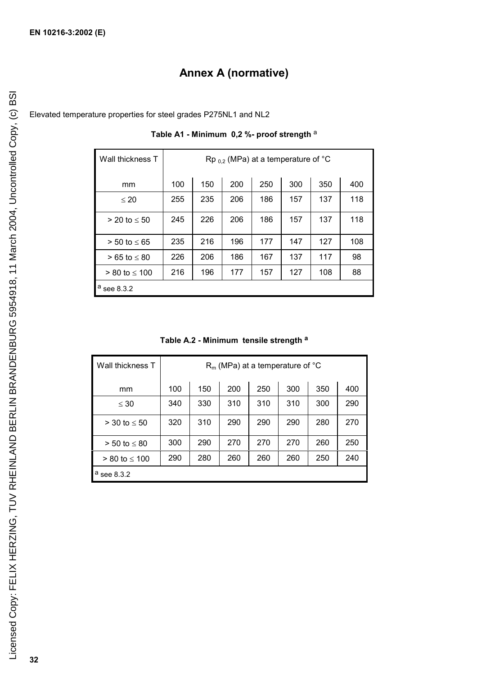## **Annex A (normative)**

Elevated temperature properties for steel grades P275NL1 and NL2

| Wall thickness T       | Rp $_{0.2}$ (MPa) at a temperature of $^{\circ}$ C |     |     |     |     |     |     |
|------------------------|----------------------------------------------------|-----|-----|-----|-----|-----|-----|
| mm                     | 100                                                | 150 | 200 | 250 | 300 | 350 | 400 |
| $\leq 20$              | 255                                                | 235 | 206 | 186 | 157 | 137 | 118 |
| $> 20$ to $\leq 50$    | 245                                                | 226 | 206 | 186 | 157 | 137 | 118 |
| $> 50$ to $\leq 65$    | 235                                                | 216 | 196 | 177 | 147 | 127 | 108 |
| > 65 to ≤ 80           | 226                                                | 206 | 186 | 167 | 137 | 117 | 98  |
| $> 80$ to $\leq 100$   | 216                                                | 196 | 177 | 157 | 127 | 108 | 88  |
| <sup>a</sup> see 8.3.2 |                                                    |     |     |     |     |     |     |

#### **Table A1 - Minimum 0,2 %- proof strength** a

**Table A.2 - Minimum tensile strength a**

| Wall thickness T     | $R_m$ (MPa) at a temperature of ${}^{\circ}C$ |     |     |     |     |     |     |
|----------------------|-----------------------------------------------|-----|-----|-----|-----|-----|-----|
| mm                   | 100                                           | 150 | 200 | 250 | 300 | 350 | 400 |
| $\leq 30$            | 340                                           | 330 | 310 | 310 | 310 | 300 | 290 |
| > 30 to ≤ 50         | 320                                           | 310 | 290 | 290 | 290 | 280 | 270 |
| $> 50$ to $\leq 80$  | 300                                           | 290 | 270 | 270 | 270 | 260 | 250 |
| $> 80$ to $\leq 100$ | 290                                           | 280 | 260 | 260 | 260 | 250 | 240 |
| а<br>see 8.3.2       |                                               |     |     |     |     |     |     |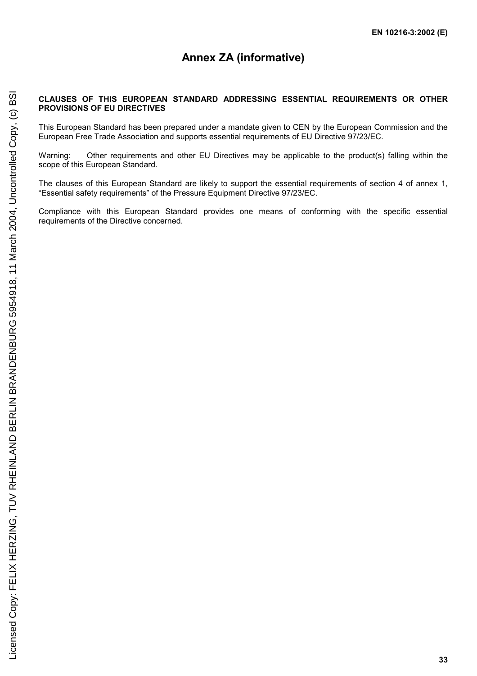## **Annex ZA (informative)**

#### **CLAUSES OF THIS EUROPEAN STANDARD ADDRESSING ESSENTIAL REQUIREMENTS OR OTHER PROVISIONS OF EU DIRECTIVES**

This European Standard has been prepared under a mandate given to CEN by the European Commission and the European Free Trade Association and supports essential requirements of EU Directive 97/23/EC.

Warning: Other requirements and other EU Directives may be applicable to the product(s) falling within the scope of this European Standard.

The clauses of this European Standard are likely to support the essential requirements of section 4 of annex 1, "Essential safety requirements" of the Pressure Equipment Directive 97/23/EC.

Compliance with this European Standard provides one means of conforming with the specific essential requirements of the Directive concerned.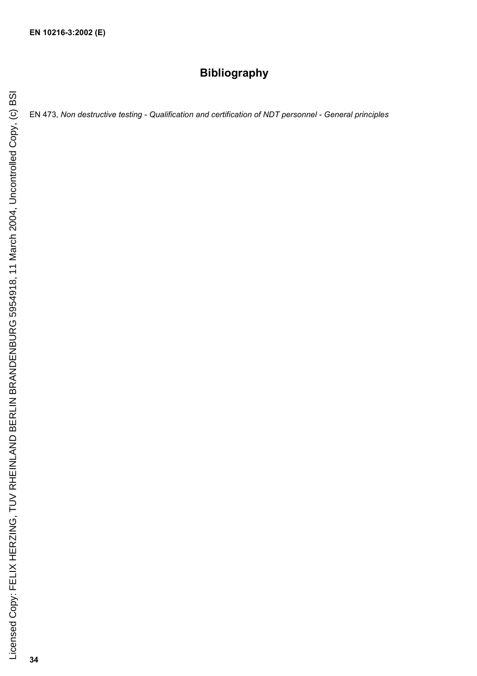# **Bibliography**

EN 473, *Non destructive testing - Qualification and certification of NDT personnel - General principles*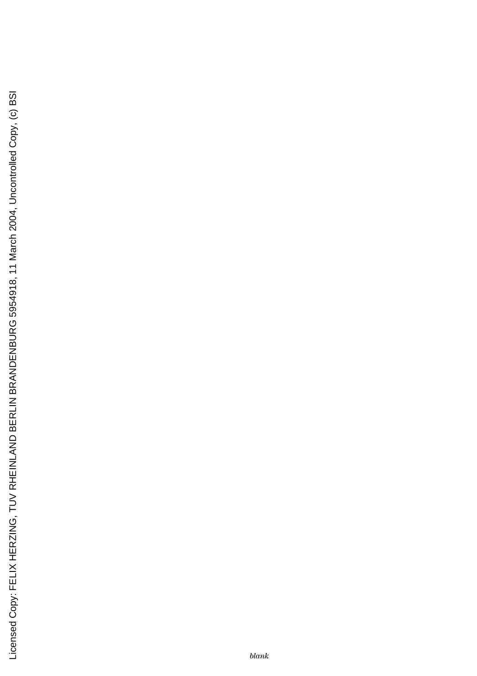Licensed Copy: FELIX HERZING, TUV RHEINLAND BERLIN BRANDENBURG 5954918, 11 March 2004, Uncontrolled Copy, (c) BSI Licensed Copy: FELIX HERZING, TUV RHEINLAND BERLIN BRANDENBURG 5954918, 11 March 2004, Uncontrolled Copy, (c) BSI